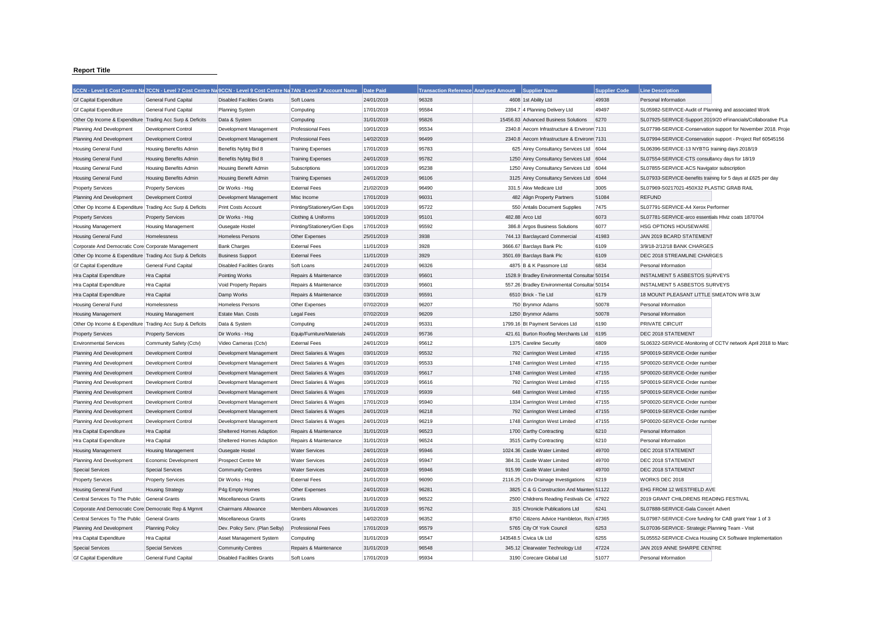## **Report Title**

|                                                           | 5CCN - Level 5 Cost Centre Na 7CCN - Level 7 Cost Centre Na 9CCN - Level 9 Cost Centre Na 7AN - Level 7 Account Name |                                   |                              | Date Paid  | <b>Transaction Reference Analysed Amount</b> | Supplier Name                                | <b>Supplier Code</b> | <b>Line Description</b>                                      |                                                               |
|-----------------------------------------------------------|----------------------------------------------------------------------------------------------------------------------|-----------------------------------|------------------------------|------------|----------------------------------------------|----------------------------------------------|----------------------|--------------------------------------------------------------|---------------------------------------------------------------|
| <b>Gf Capital Expenditure</b>                             | <b>General Fund Capital</b>                                                                                          | <b>Disabled Facilities Grants</b> | Soft Loans                   | 24/01/2019 | 96328                                        | 4608 1st Ability Ltd                         | 49938                | Personal Information                                         |                                                               |
| <b>Gf Capital Expenditure</b>                             | General Fund Capital                                                                                                 | <b>Planning System</b>            | Computing                    | 17/01/2019 | 95584                                        | 2394.7 4 Planning Delivery Ltd               | 49497                | SL05982-SERVICE-Audit of Planning and associated Work        |                                                               |
| Other Op Income & Expenditure Trading Acc Surp & Deficits |                                                                                                                      | Data & System                     | Computing                    | 31/01/2019 | 95826                                        | 15456.83 Advanced Business Solutions         | 6270                 |                                                              | SL07925-SERVICE-Support 2019/20 eFinancials/Collaborative PLa |
| Planning And Development                                  | <b>Development Control</b>                                                                                           | Development Management            | <b>Professional Fees</b>     | 10/01/2019 | 95534                                        | 2340.8 Aecom Infrastructure & Environm 7131  |                      |                                                              | SL07798-SERVICE-Conservation support for November 2018. Proje |
| Planning And Development                                  | Development Control                                                                                                  | Development Management            | <b>Professional Fees</b>     | 14/02/2019 | 96499                                        | 2340.8 Aecom Infrastructure & Environm 7131  |                      |                                                              | SL07994-SERVICE-Conservation support - Project Ref 60545156   |
| Housing General Fund                                      | <b>Housing Benefits Admin</b>                                                                                        | Benefits Nybtg Bid 8              | <b>Training Expenses</b>     | 17/01/2019 | 95783                                        | 625 Airey Consultancy Services Ltd 6044      |                      | SL06396-SERVICE-13 NYBTG training days 2018/19               |                                                               |
| <b>Housing General Fund</b>                               | <b>Housing Benefits Admin</b>                                                                                        | Benefits Nybtg Bid 8              | <b>Training Expenses</b>     | 24/01/2019 | 95782                                        | 1250 Airey Consultancy Services Ltd          | 6044                 | SL07554-SERVICE-CTS consultancy days for 18/19               |                                                               |
| <b>Housing General Fund</b>                               | Housing Benefits Admin                                                                                               | Housing Benefit Admin             | Subscriptions                | 10/01/2019 | 95238                                        | 1250 Airey Consultancy Services Ltd          | 6044                 | SL07855-SERVICE-ACS Navigator subscription                   |                                                               |
| <b>Housing General Fund</b>                               | Housing Benefits Admin                                                                                               | Housing Benefit Admin             | <b>Training Expenses</b>     | 24/01/2019 | 96106                                        | 3125 Airey Consultancy Services Ltd          | 6044                 | SL07933-SERVICE-benefits training for 5 days at £625 per day |                                                               |
| <b>Property Services</b>                                  | <b>Property Services</b>                                                                                             | Dir Works - Hsg                   | <b>External Fees</b>         | 21/02/2019 | 96490                                        | 331.5 Akw Medicare Ltd                       | 3005                 | SL07969-S0217021-450X32 PLASTIC GRAB RAIL                    |                                                               |
| Planning And Development                                  | <b>Development Control</b>                                                                                           | Development Management            | Misc Income                  | 17/01/2019 | 96031                                        | 482 Align Property Partners                  | 51084                | <b>REFUND</b>                                                |                                                               |
| Other Op Income & Expenditure Trading Acc Surp & Deficits |                                                                                                                      | Print Costs Account               | Printing/Stationery/Gen Exps | 10/01/2019 | 95722                                        | 550 Antalis Document Supplies                | 7475                 | SL07791-SERVICE-A4 Xerox Performer                           |                                                               |
| <b>Property Services</b>                                  | <b>Property Services</b>                                                                                             | Dir Works - Hsg                   | Clothing & Uniforms          | 10/01/2019 | 95101                                        | 482.88 Arco Ltd                              | 6073                 | SL07781-SERVICE-arco essentials HIviz coats 1870704          |                                                               |
| <b>Housing Management</b>                                 | <b>Housing Management</b>                                                                                            | <b>Ousegate Hostel</b>            | Printing/Stationery/Gen Exps | 17/01/2019 | 95592                                        | 386.8 Argos Business Solutions               | 6077                 | HSG OPTIONS HOUSEWARE                                        |                                                               |
| <b>Housing General Fund</b>                               | Homelessness                                                                                                         | Homeless Persons                  | Other Expenses               | 25/01/2019 | 3938                                         | 744.13 Barclaycard Commercial                | 41983                | JAN 2019 BCARD STATEMENT                                     |                                                               |
| Corporate And Democratic Core Corporate Management        |                                                                                                                      | <b>Bank Charges</b>               | <b>External Fees</b>         | 11/01/2019 | 3928                                         | 3666.67 Barclays Bank Plc                    | 6109                 | 3/9/18-2/12/18 BANK CHARGES                                  |                                                               |
| Other Op Income & Expenditure Trading Acc Surp & Deficits |                                                                                                                      | <b>Business Support</b>           | <b>External Fees</b>         | 11/01/2019 | 3929                                         | 3501.69 Barclays Bank Plc                    | 6109                 | DEC 2018 STREAMLINE CHARGES                                  |                                                               |
| <b>Gf Capital Expenditure</b>                             | General Fund Capital                                                                                                 | <b>Disabled Facilities Grants</b> | Soft Loans                   | 24/01/2019 | 96326                                        | 4875 B & K Passmore Ltd                      | 6834                 | Personal Information                                         |                                                               |
| Hra Capital Expenditure                                   | Hra Capital                                                                                                          | Pointing Works                    | Repairs & Maintenance        | 03/01/2019 | 95601                                        | 1528.9 Bradley Environmental Consultar 50154 |                      | <b>INSTALMENT 5 ASBESTOS SURVEYS</b>                         |                                                               |
| Hra Capital Expenditure                                   | Hra Capital                                                                                                          | Void Property Repairs             | Repairs & Maintenance        | 03/01/2019 | 95601                                        | 557.26 Bradley Environmental Consultar 50154 |                      | <b>INSTALMENT 5 ASBESTOS SURVEYS</b>                         |                                                               |
| Hra Capital Expenditure                                   | Hra Capital                                                                                                          | Damp Works                        | Repairs & Maintenance        | 03/01/2019 | 95591                                        | 6510 Brick - Tie Ltd                         | 6179                 | 18 MOUNT PLEASANT LITTLE SMEATON WF8 3LW                     |                                                               |
| <b>Housing General Fund</b>                               | Homelessness                                                                                                         | <b>Homeless Persons</b>           | Other Expenses               | 07/02/2019 | 96207                                        | 750 Brynmor Adams                            | 50078                | Personal Information                                         |                                                               |
| Housing Management                                        | Housing Management                                                                                                   | Estate Man. Costs                 | <b>Legal Fees</b>            | 07/02/2019 | 96209                                        | 1250 Brynmor Adams                           | 50078                | Personal Information                                         |                                                               |
| Other Op Income & Expenditure Trading Acc Surp & Deficits |                                                                                                                      | Data & System                     | Computing                    | 24/01/2019 | 95331                                        | 1799.16 Bt Payment Services Ltd              | 6190                 | <b>PRIVATE CIRCUIT</b>                                       |                                                               |
| <b>Property Services</b>                                  | <b>Property Services</b>                                                                                             | Dir Works - Hsg                   | Equip/Furniture/Materials    | 24/01/2019 | 95736                                        | 421.61 Burton Roofing Merchants Ltd          | 6195                 | DEC 2018 STATEMENT                                           |                                                               |
| <b>Environmental Services</b>                             | Community Safety (Cctv)                                                                                              | Video Cameras (Cctv)              | <b>External Fees</b>         | 24/01/2019 | 95612                                        | 1375 Careline Security                       | 6809                 |                                                              | SL06322-SERVICE-Monitoring of CCTV network April 2018 to Marc |
| Planning And Development                                  | Development Control                                                                                                  | Development Management            | Direct Salaries & Wages      | 03/01/2019 | 95532                                        | 792 Carrington West Limited                  | 47155                | SP00019-SERVICE-Order number                                 |                                                               |
| Planning And Development                                  | Development Control                                                                                                  | Development Management            | Direct Salaries & Wages      | 03/01/2019 | 95533                                        | 1748 Carrington West Limited                 | 47155                | SP00020-SERVICE-Order number                                 |                                                               |
| Planning And Development                                  | <b>Development Control</b>                                                                                           | Development Management            | Direct Salaries & Wages      | 03/01/2019 | 95617                                        | 1748 Carrington West Limited                 | 47155                | SP00020-SERVICE-Order numbe                                  |                                                               |
| Planning And Development                                  | Development Control                                                                                                  | Development Management            | Direct Salaries & Wages      | 10/01/2019 | 95616                                        | 792 Carrington West Limited                  | 47155                | SP00019-SERVICE-Order number                                 |                                                               |
| Planning And Development                                  | <b>Development Control</b>                                                                                           | Development Management            | Direct Salaries & Wages      | 17/01/2019 | 95939                                        | 648 Carrington West Limited                  | 47155                | SP00019-SERVICE-Order number                                 |                                                               |
| Planning And Development                                  | Development Control                                                                                                  | Development Management            | Direct Salaries & Wages      | 17/01/2019 | 95940                                        | 1334 Carrington West Limited                 | 47155                | SP00020-SERVICE-Order number                                 |                                                               |
| Planning And Development                                  | <b>Development Control</b>                                                                                           | Development Management            | Direct Salaries & Wages      | 24/01/2019 | 96218                                        | 792 Carrington West Limited                  | 47155                | SP00019-SERVICE-Order number                                 |                                                               |
| Planning And Development                                  | Development Control                                                                                                  | Development Management            | Direct Salaries & Wages      | 24/01/2019 | 96219                                        | 1748 Carrington West Limited                 | 47155                | SP00020-SERVICE-Order number                                 |                                                               |
| Hra Capital Expenditure                                   | Hra Capital                                                                                                          | Sheltered Homes Adaption          | Repairs & Maintenance        | 31/01/2019 | 96523                                        | 1700 Carthy Contracting                      | 6210                 | Personal Information                                         |                                                               |
| Hra Capital Expenditure                                   | Hra Capital                                                                                                          | Sheltered Homes Adaption          | Repairs & Maintenance        | 31/01/2019 | 96524                                        | 3515 Carthy Contracting                      | 6210                 | Personal Information                                         |                                                               |
| <b>Housing Management</b>                                 | <b>Housing Management</b>                                                                                            | <b>Ousegate Hostel</b>            | <b>Water Services</b>        | 24/01/2019 | 95946                                        | 1024.36 Castle Water Limited                 | 49700                | DEC 2018 STATEMENT                                           |                                                               |
| Planning And Development                                  | Economic Development                                                                                                 | Prospect Centre Mr                | <b>Water Services</b>        | 24/01/2019 | 95947                                        | 384.31 Castle Water Limited                  | 49700                | DEC 2018 STATEMENT                                           |                                                               |
| <b>Special Services</b>                                   | <b>Special Services</b>                                                                                              | <b>Community Centres</b>          | <b>Water Services</b>        | 24/01/2019 | 95946                                        | 915.99 Castle Water Limited                  | 49700                | DEC 2018 STATEMENT                                           |                                                               |
| <b>Property Services</b>                                  | <b>Property Services</b>                                                                                             | Dir Works - Hsg                   | <b>External Fees</b>         | 31/01/2019 | 96090                                        | 2116.25 Cctv Drainage Investigations         | 6219                 | WORKS DEC 2018                                               |                                                               |
| Housing General Fund                                      | <b>Housing Strategy</b>                                                                                              | P4g Empty Homes                   | Other Expenses               | 24/01/2019 | 96281                                        | 3825 C & G Construction And Mainten 51122    |                      | EHG FROM 12 WESTFIELD AVE                                    |                                                               |
| Central Services To The Public General Grants             |                                                                                                                      | Miscellaneous Grants              | Grants                       | 31/01/2019 | 96522                                        | 2500 Childrens Reading Festivals Cic 47922   |                      | 2019 GRANT CHILDRENS READING FESTIVAL                        |                                                               |
| Corporate And Democratic Core Democratic Rep & Mgmnt      |                                                                                                                      | Chairmans Allowance               | <b>Members Allowances</b>    | 31/01/2019 | 95762                                        | 315 Chronicle Publications Ltd               | 6241                 | SL07888-SERVICE-Gala Concert Advert                          |                                                               |
| Central Services To The Public General Grants             |                                                                                                                      | Miscellaneous Grants              | Grants                       | 14/02/2019 | 96352                                        | 8750 Citizens Advice Hambleton, Rich 47365   |                      | SL07987-SERVICE-Core funding for CAB grant Year 1 of 3       |                                                               |
| Planning And Development                                  | <b>Planning Policy</b>                                                                                               | Dev. Policy Serv. (Plan Selby)    | <b>Professional Fees</b>     | 17/01/2019 | 95579                                        | 5765 City Of York Council                    | 6253                 | SL07036-SERVICE- Strategic Planning Team - Visit             |                                                               |
| Hra Capital Expenditure                                   | Hra Capital                                                                                                          | Asset Management System           | Computing                    | 31/01/2019 | 95547                                        | 143548.5 Civica Uk Ltd                       | 6255                 | SL05552-SERVICE-Civica Housing CX Software Implementation    |                                                               |
| <b>Special Services</b>                                   | <b>Special Services</b>                                                                                              | <b>Community Centres</b>          | Repairs & Maintenance        | 31/01/2019 | 96548                                        | 345.12 Clearwater Technology Ltd             | 47224                | JAN 2019 ANNE SHARPE CENTRE                                  |                                                               |
| Gf Capital Expenditure                                    | General Fund Capital                                                                                                 | <b>Disabled Facilities Grants</b> | Soft Loans                   | 17/01/2019 | 95934                                        | 3190 Corecare Global Ltd                     | 51077                | Personal Information                                         |                                                               |
|                                                           |                                                                                                                      |                                   |                              |            |                                              |                                              |                      |                                                              |                                                               |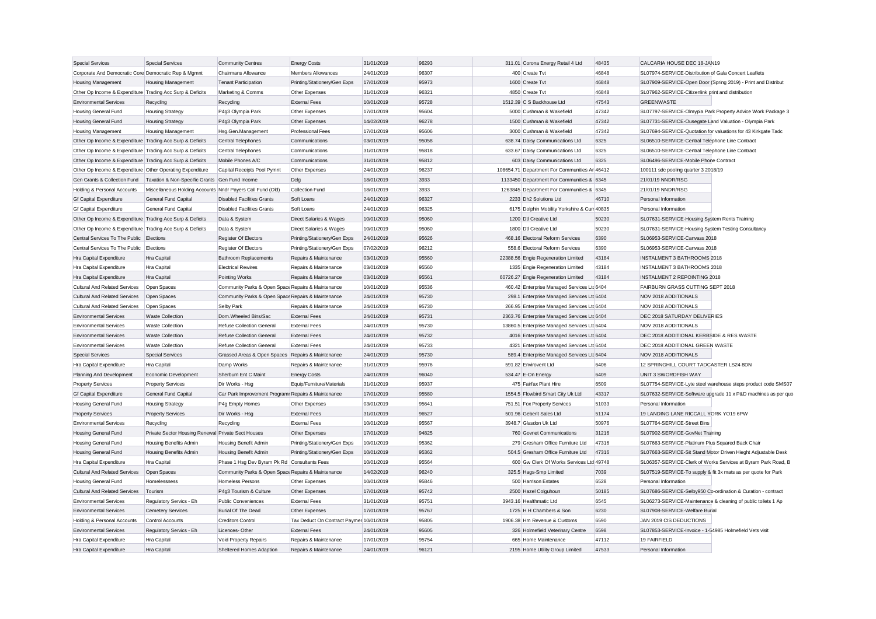| <b>Special Services</b>                                   | <b>Special Services</b>                                    | <b>Community Centres</b>                            | <b>Energy Costs</b>                      | 31/01/2019 | 96293 | 311.01 Corona Energy Retail 4 Ltd             | 48435 | CALCARIA HOUSE DEC 18-JAN19                                   |
|-----------------------------------------------------------|------------------------------------------------------------|-----------------------------------------------------|------------------------------------------|------------|-------|-----------------------------------------------|-------|---------------------------------------------------------------|
| Corporate And Democratic Core Democratic Rep & Mgmnt      |                                                            | Chairmans Allowance                                 | <b>Members Allowances</b>                | 24/01/2019 | 96307 | 400 Create Tvt                                | 46848 | SL07974-SERVICE-Distribution of Gala Concert Leaflets         |
| Housing Management                                        | Housing Management                                         | <b>Tenant Participation</b>                         | Printing/Stationery/Gen Exps             | 17/01/2019 | 95973 | 1600 Create Tvt                               | 46848 | SL07909-SERVICE-Open Door (Spring 2019) - Print and Distribut |
| Other Op Income & Expenditure Trading Acc Surp & Deficits |                                                            | Marketing & Comms                                   | Other Expenses                           | 31/01/2019 | 96321 | 4850 Create Tvt                               | 46848 | SL07962-SERVICE-Citizenlink print and distribution            |
| <b>Environmental Services</b>                             | Recycling                                                  | Recycling                                           | <b>External Fees</b>                     | 10/01/2019 | 95728 | 1512.39 C S Backhouse Ltd                     | 47543 | <b>GREENWASTE</b>                                             |
| <b>Housing General Fund</b>                               | <b>Housing Strategy</b>                                    | P4g3 Olympia Park                                   | Other Expenses                           | 17/01/2019 | 95604 | 5000 Cushman & Wakefield                      | 47342 | SL07797-SERVICE-Olmypia Park Property Advice Work Package 3   |
| Housing General Fund                                      | <b>Housing Strategy</b>                                    | P4g3 Olympia Park                                   | Other Expenses                           | 14/02/2019 | 96278 | 1500 Cushman & Wakefield                      | 47342 | SL07731-SERVICE-Ousegate Land Valuation - Olympia Park        |
| Housing Management                                        | Housing Management                                         | Hsg.Gen.Management                                  | <b>Professional Fees</b>                 | 17/01/2019 | 95606 | 3000 Cushman & Wakefield                      | 47342 | SL07694-SERVICE-Quotation for valuations for 43 Kirkgate Tadc |
| Other Op Income & Expenditure Trading Acc Surp & Deficits |                                                            | Central Telephones                                  | Communications                           | 03/01/2019 | 95058 | 638.74 Daisy Communications Ltd               | 6325  | SL06510-SERVICE-Central Telephone Line Contract               |
| Other Op Income & Expenditure Trading Acc Surp & Deficits |                                                            | Central Telephones                                  | Communications                           | 31/01/2019 | 95818 | 633.67 Daisy Communications Ltd               | 6325  | SL06510-SERVICE-Central Telephone Line Contract               |
| Other Op Income & Expenditure Trading Acc Surp & Deficits |                                                            | Mobile Phones A/C                                   | Communications                           | 31/01/2019 | 95812 | 603 Daisy Communications Ltd                  | 6325  | SL06496-SERVICE-Mobile Phone Contract                         |
| Other Op Income & Expenditure Other Operating Expenditure |                                                            | Capital Receipts Pool Pymnt                         | Other Expenses                           | 24/01/2019 | 96237 | 108654.71 Department For Communities Ar 46412 |       | 100111 sdc pooling quarter 3 2018/19                          |
| Gen Grants & Collection Fund                              | Taxation & Non-Specific Grants Gen Fund Income             |                                                     | Dclg                                     | 18/01/2019 | 3933  | 1133450 Department For Communities & 6345     |       | 21/01/19 NNDR/RSG                                             |
| Holding & Personal Accounts                               | Miscellaneous Holding Accounts Nndr Payers Coll Fund (Old) |                                                     | <b>Collection Fund</b>                   | 18/01/2019 | 3933  | 1263845 Department For Communities & 6345     |       | 21/01/19 NNDR/RSG                                             |
| <b>Gf Capital Expenditure</b>                             | General Fund Capital                                       | <b>Disabled Facilities Grants</b>                   | Soft Loans                               | 24/01/2019 | 96327 | 2233 Dh2 Solutions Ltd                        | 46710 | Personal Information                                          |
| <b>Gf Capital Expenditure</b>                             | <b>General Fund Capital</b>                                | <b>Disabled Facilities Grants</b>                   | Soft Loans                               | 24/01/2019 | 96325 | 6175 Dolphin Mobility Yorkshire & Curi 40835  |       | Personal Information                                          |
| Other Op Income & Expenditure Trading Acc Surp & Deficits |                                                            | Data & System                                       | Direct Salaries & Wages                  | 10/01/2019 | 95060 | 1200 Dtl Creative Ltd                         | 50230 | SL07631-SERVICE-Housing System Rents Training                 |
| Other Op Income & Expenditure Trading Acc Surp & Deficits |                                                            | Data & System                                       | Direct Salaries & Wages                  | 10/01/2019 | 95060 | 1800 Dtl Creative Ltd                         | 50230 | SL07631-SERVICE-Housing System Testing Consultancy            |
| Central Services To The Public Elections                  |                                                            | Register Of Electors                                | Printing/Stationery/Gen Exps             | 24/01/2019 | 95626 | 468.16 Electoral Reform Services              | 6390  | SL06953-SERVICE-Canvass 2018                                  |
| Central Services To The Public Elections                  |                                                            | Register Of Electors                                | Printing/Stationery/Gen Exps             | 07/02/2019 | 96212 | 558.6 Electoral Reform Services               | 6390  | SL06953-SERVICE-Canvass 2018                                  |
| Hra Capital Expenditure                                   | Hra Capital                                                | <b>Bathroom Replacements</b>                        | Repairs & Maintenance                    | 03/01/2019 | 95560 | 22388.56 Engie Regeneration Limited           | 43184 | <b>INSTALMENT 3 BATHROOMS 2018</b>                            |
|                                                           |                                                            |                                                     |                                          |            |       |                                               |       |                                                               |
| Hra Capital Expenditure                                   | Hra Capital                                                | <b>Electrical Rewires</b>                           | Repairs & Maintenance                    | 03/01/2019 | 95560 | 1335 Engie Regeneration Limited               | 43184 | <b>INSTALMENT 3 BATHROOMS 2018</b>                            |
| Hra Capital Expenditure                                   | Hra Capital                                                | Pointing Works                                      | Repairs & Maintenance                    | 03/01/2019 | 95561 | 60726.27 Engie Regeneration Limited           | 43184 | <b>INSTALMENT 2 REPOINTING 2018</b>                           |
| <b>Cultural And Related Services</b>                      | Open Spaces                                                | Community Parks & Open Space Repairs & Maintenance  |                                          | 10/01/2019 | 95536 | 460.42 Enterprise Managed Services Ltd 6404   |       | FAIRBURN GRASS CUTTING SEPT 2018                              |
| <b>Cultural And Related Services</b>                      | Open Spaces                                                | Community Parks & Open Space Repairs & Maintenance  |                                          | 24/01/2019 | 95730 | 298.1 Enterprise Managed Services Ltd 6404    |       | NOV 2018 ADDITIONALS                                          |
| <b>Cultural And Related Services</b>                      | Open Spaces                                                | Selby Park                                          | Repairs & Maintenance                    | 24/01/2019 | 95730 | 266.95 Enterprise Managed Services Ltd 6404   |       | NOV 2018 ADDITIONALS                                          |
| <b>Environmental Services</b>                             | <b>Waste Collection</b>                                    | Dom.Wheeled Bins/Sac                                | <b>External Fees</b>                     | 24/01/2019 | 95731 | 2363.76 Enterprise Managed Services Ltd 6404  |       | DEC 2018 SATURDAY DELIVERIES                                  |
| <b>Environmental Services</b>                             | <b>Waste Collection</b>                                    | Refuse Collection General                           | <b>External Fees</b>                     | 24/01/2019 | 95730 | 13860.5 Enterprise Managed Services Ltd 6404  |       | NOV 2018 ADDITIONALS                                          |
| <b>Environmental Services</b>                             | <b>Waste Collection</b>                                    | Refuse Collection General                           | <b>External Fees</b>                     | 24/01/2019 | 95732 | 4016 Enterprise Managed Services Ltd 6404     |       | DEC 2018 ADDITIONAL KERBSIDE & RES WASTE                      |
| <b>Environmental Services</b>                             | <b>Waste Collection</b>                                    | <b>Refuse Collection General</b>                    | <b>External Fees</b>                     | 24/01/2019 | 95733 | 4321 Enterprise Managed Services Ltd 6404     |       | DEC 2018 ADDITIONAL GREEN WASTE                               |
| <b>Special Services</b>                                   | <b>Special Services</b>                                    | Grassed Areas & Open Spaces Repairs & Maintenance   |                                          | 24/01/2019 | 95730 | 589.4 Enterprise Managed Services Ltc 6404    |       | NOV 2018 ADDITIONALS                                          |
| <b>Hra Capital Expenditure</b>                            | Hra Capital                                                | Damp Works                                          | Repairs & Maintenance                    | 31/01/2019 | 95976 | 591.82 Envirovent Ltd                         | 6406  | 12 SPRINGHILL COURT TADCASTER LS24 8DN                        |
| Planning And Development                                  | Economic Development                                       | Sherburn Ent C Maint                                | <b>Energy Costs</b>                      | 24/01/2019 | 96040 | 534.47 E-On Energy                            | 6409  | UNIT 3 SWORDFISH WAY                                          |
| <b>Property Services</b>                                  | <b>Property Services</b>                                   | Dir Works - Hsg                                     | Equip/Furniture/Materials                | 31/01/2019 | 95937 | 475 Fairfax Plant Hire                        | 6509  | SL07754-SERVICE-Lyte steel warehouse steps product code SMS07 |
| <b>Gf Capital Expenditure</b>                             | General Fund Capital                                       | Car Park Improvement Program: Repairs & Maintenance |                                          | 17/01/2019 | 95580 | 1554.5 Flowbird Smart City Uk Ltd             | 43317 | SL07632-SERVICE-Software upgrade 11 x P&D machines as per quo |
| <b>Housing General Fund</b>                               | <b>Housing Strategy</b>                                    | P4g Empty Homes                                     | Other Expenses                           | 03/01/2019 | 95641 | 751.51 Fox Property Services                  | 51033 | Personal Information                                          |
| <b>Property Services</b>                                  | <b>Property Services</b>                                   | Dir Works - Hsg                                     | <b>External Fees</b>                     | 31/01/2019 | 96527 | 501.96 Geberit Sales Ltd                      | 51174 | 19 LANDING LANE RICCALL YORK YO19 6PW                         |
| <b>Environmental Services</b>                             | Recycling                                                  | Recycling                                           | <b>External Fees</b>                     | 10/01/2019 | 95567 | 3948.7 Glasdon Uk Ltd                         | 50976 | SL07764-SERVICE-Street Bins                                   |
| <b>Housing General Fund</b>                               | Private Sector Housing Renewal Private Sect Houses         |                                                     | Other Expenses                           | 17/01/2019 | 94825 | 760 Govnet Communications                     | 31216 | SL07902-SERVICE-GovNet Training                               |
| Housing General Fund                                      | Housing Benefits Admin                                     | <b>Housing Benefit Admin</b>                        | Printing/Stationery/Gen Exps             | 10/01/2019 | 95362 | 279 Gresham Office Furniture Ltd              | 47316 | SL07663-SERVICE-Platinum Plus Squared Back Chair              |
| Housing General Fund                                      | Housing Benefits Admin                                     | Housing Benefit Admin                               | Printing/Stationery/Gen Exps             | 10/01/2019 | 95362 | 504.5 Gresham Office Furniture Ltd            | 47316 | SL07663-SERVICE-Sit Stand Motor Driven Hieght Adjustable Desk |
| Hra Capital Expenditure                                   | Hra Capital                                                | Phase 1 Hsg Dev Byram Pk Rd Consultants Fees        |                                          | 10/01/2019 | 95564 | 600 Gw Clerk Of Works Services Ltd 49748      |       | SL06357-SERVICE-Clerk of Works Services at Byram Park Road, B |
| <b>Cultural And Related Services</b>                      | Open Spaces                                                | Community Parks & Open Space Repairs & Maintenance  |                                          | 14/02/2019 | 96240 | 325.5 Hags-Smp Limited                        | 7039  | SL07519-SERVICE-To supply & fit 3x mats as per quote for Park |
| <b>Housing General Fund</b>                               | Homelessness                                               | <b>Homeless Persons</b>                             | Other Expenses                           | 10/01/2019 | 95846 | 500 Harrison Estates                          | 6528  | Personal Information                                          |
| <b>Cultural And Related Services</b>                      | Tourism                                                    | P4g3 Tourism & Culture                              | Other Expenses                           | 17/01/2019 | 95742 | 2500 Hazel Colguhoun                          | 50185 | SL07686-SERVICE-Selby950 Co-ordination & Curation - contract  |
|                                                           |                                                            |                                                     |                                          | 31/01/2019 | 95751 | 3943.16 Healthmatic Ltd                       | 6545  |                                                               |
| <b>Environmental Services</b>                             | Regulatory Servics - Eh                                    | <b>Public Conveniences</b>                          | <b>External Fees</b>                     |            |       |                                               |       | SL06273-SERVICE-Maintenance & cleaning of public toilets 1 Ap |
| <b>Environmental Services</b>                             | <b>Cemetery Services</b>                                   | <b>Burial Of The Dead</b>                           | Other Expenses                           | 17/01/2019 | 95767 | 1725 H H Chambers & Son                       | 6230  | SL07908-SERVICE-Welfare Burial                                |
| Holding & Personal Accounts                               | Control Accounts                                           | <b>Creditors Control</b>                            | Tax Deduct On Contract Paymer 10/01/2019 |            | 95805 | 1906.38 Hm Revenue & Customs                  | 6590  | JAN 2019 CIS DEDUCTIONS                                       |
| <b>Environmental Services</b>                             | Regulatory Servics - Eh                                    | Licences-Other                                      | <b>External Fees</b>                     | 24/01/2019 | 95605 | 326 Holmefield Veterinary Centre              | 6598  | SL07853-SERVICE-Invoice - 1-54985 Holmefield Vets visit       |
| Hra Capital Expenditure                                   | Hra Capital                                                | Void Property Repairs                               | Repairs & Maintenance                    | 17/01/2019 | 95754 | 665 Home Maintenance                          | 47112 | 19 FAIRFIELD                                                  |
| Hra Capital Expenditure                                   | Hra Capital                                                | Sheltered Homes Adaption                            | Repairs & Maintenance                    | 24/01/2019 | 96121 | 2195 Home Utility Group Limited               | 47533 | Personal Information                                          |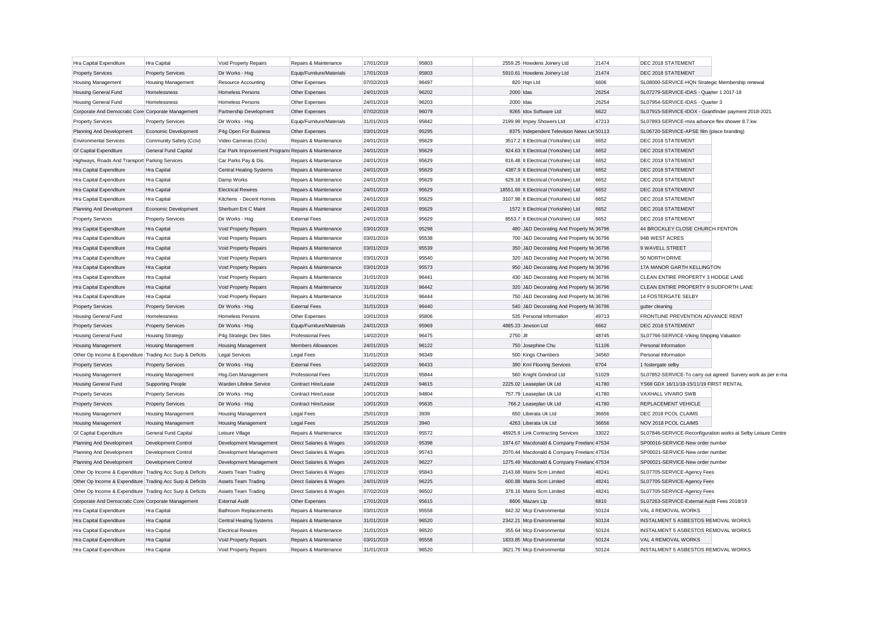| Hra Capital Expenditure                                   | Hra Capital               | Void Property Repairs                               | Repairs & Maintenance     | 17/01/2019 | 95803 |           | 2559.25 Howdens Joinery Ltd                | 21474 | DEC 2018 STATEMENT                                   |                                                               |
|-----------------------------------------------------------|---------------------------|-----------------------------------------------------|---------------------------|------------|-------|-----------|--------------------------------------------|-------|------------------------------------------------------|---------------------------------------------------------------|
| <b>Property Services</b>                                  | <b>Property Services</b>  | Dir Works - Hsg                                     | Equip/Furniture/Materials | 17/01/2019 | 95803 |           | 5910.61 Howdens Joinery Ltd                | 21474 | DEC 2018 STATEMENT                                   |                                                               |
| <b>Housing Management</b>                                 | <b>Housing Management</b> | Resource Accounting                                 | Other Expenses            | 07/02/2019 | 96497 |           | 820 Hqn Ltd                                | 6606  | SL08000-SERVICE-HQN Strategic Membership renewal     |                                                               |
| Housing General Fund                                      | Homelessness              | <b>Homeless Persons</b>                             | Other Expenses            | 24/01/2019 | 96202 | 2000 Idas |                                            | 26254 | SL07279-SERVICE-IDAS - Quarter 1 2017-18             |                                                               |
| <b>Housing General Fund</b>                               | Homelessness              | Homeless Persons                                    | Other Expenses            | 24/01/2019 | 96203 | 2000 Idas |                                            | 26254 | SL07954-SERVICE-IDAS - Quarter 3                     |                                                               |
| Corporate And Democratic Core Corporate Management        |                           | Partnership Development                             | Other Expenses            | 07/02/2019 | 96079 |           | 9265 Idox Software Ltd                     | 6622  | SL07915-SERVICE-IDOX - Grantfinder payment 2018-2021 |                                                               |
| <b>Property Services</b>                                  | <b>Property Services</b>  | Dir Works - Hsg                                     | Equip/Furniture/Materials | 31/01/2019 | 95842 |           | 2199.99 Impey Showers Ltd                  | 47213 | SL07893-SERVICE-mira advance flex shower 8.7.kw      |                                                               |
| Planning And Development                                  | Economic Development      | P4g Open For Business                               | Other Expenses            | 03/01/2019 | 95295 |           | 8375 Independent Television News Lin 50113 |       | SL06720-SERVICE-APSE film (place branding)           |                                                               |
| <b>Environmental Services</b>                             | Community Safety (Cctv)   | Video Cameras (Cctv)                                | Repairs & Maintenance     | 24/01/2019 | 95629 |           | 3517.2 It Electrical (Yorkshire) Ltd       | 6652  | DEC 2018 STATEMENT                                   |                                                               |
| <b>Gf Capital Expenditure</b>                             | General Fund Capital      | Car Park Improvement Program: Repairs & Maintenance |                           | 24/01/2019 | 95629 |           | 924.63 It Electrical (Yorkshire) Ltd       | 6652  | DEC 2018 STATEMENT                                   |                                                               |
| Highways, Roads And Transport Parking Services            |                           | Car Parks Pay & Dis.                                | Repairs & Maintenance     | 24/01/2019 | 95629 |           | 816.48 It Electrical (Yorkshire) Ltd       | 6652  | DEC 2018 STATEMENT                                   |                                                               |
| Hra Capital Expenditure                                   | Hra Capital               | <b>Central Heating Systems</b>                      | Repairs & Maintenance     | 24/01/2019 | 95629 |           | 4387.9 It Electrical (Yorkshire) Ltd       | 6652  | DEC 2018 STATEMENT                                   |                                                               |
| Hra Capital Expenditure                                   | Hra Capital               | Damp Works                                          | Repairs & Maintenance     | 24/01/2019 | 95629 |           | 629.18 It Electrical (Yorkshire) Ltd       | 6652  | DEC 2018 STATEMENT                                   |                                                               |
| Hra Capital Expenditure                                   | Hra Capital               | <b>Electrical Rewires</b>                           | Repairs & Maintenance     | 24/01/2019 | 95629 |           | 18551.69 It Electrical (Yorkshire) Ltd     | 6652  | DEC 2018 STATEMENT                                   |                                                               |
| Hra Capital Expenditure                                   | Hra Capital               | Kitchens - Decent Homes                             | Repairs & Maintenance     | 24/01/2019 | 95629 |           | 3107.98 It Electrical (Yorkshire) Ltd      | 6652  | DEC 2018 STATEMENT                                   |                                                               |
| Planning And Development                                  | Economic Development      | Sherburn Ent C Maint                                | Repairs & Maintenance     | 24/01/2019 | 95629 |           | 1572 It Electrical (Yorkshire) Ltd         | 6652  | DEC 2018 STATEMENT                                   |                                                               |
| <b>Property Services</b>                                  | <b>Property Services</b>  | Dir Works - Hsg                                     | <b>External Fees</b>      | 24/01/2019 | 95629 |           | 8553.7 It Electrical (Yorkshire) Ltd       | 6652  | DEC 2018 STATEMENT                                   |                                                               |
| Hra Capital Expenditure                                   | Hra Capital               | Void Property Repairs                               | Repairs & Maintenance     | 03/01/2019 | 95298 |           | 480 J&D Decorating And Property M: 36796   |       | 44 BROCKLEY CLOSE CHURCH FENTON                      |                                                               |
| Hra Capital Expenditure                                   | Hra Capital               | Void Property Repairs                               | Repairs & Maintenance     | 03/01/2019 | 95538 |           | 700 J&D Decorating And Property M: 36796   |       | 94B WEST ACRES                                       |                                                               |
| Hra Capital Expenditure                                   | Hra Capital               | Void Property Repairs                               | Repairs & Maintenance     | 03/01/2019 | 95539 |           | 350 J&D Decorating And Property M: 36796   |       | 9 WAVELL STREET                                      |                                                               |
| Hra Capital Expenditure                                   | Hra Capital               | Void Property Repairs                               | Repairs & Maintenance     | 03/01/2019 | 95540 |           | 320 J&D Decorating And Property M: 36796   |       | 50 NORTH DRIVE                                       |                                                               |
| Hra Capital Expenditure                                   | Hra Capital               | Void Property Repairs                               | Repairs & Maintenance     | 03/01/2019 | 95573 |           | 950 J&D Decorating And Property M: 36796   |       | 17A MANOR GARTH KELLINGTON                           |                                                               |
| Hra Capital Expenditure                                   | Hra Capital               | Void Property Repairs                               | Repairs & Maintenance     | 31/01/2019 | 96441 |           | 430 J&D Decorating And Property M: 36796   |       | CLEAN ENTIRE PROPERTY 3 HODGE LANE                   |                                                               |
| Hra Capital Expenditure                                   | Hra Capital               | Void Property Repairs                               | Repairs & Maintenance     | 31/01/2019 | 96442 |           | 320 J&D Decorating And Property M: 36796   |       | CLEAN ENTIRE PROPERTY 9 SUDFORTH LANE                |                                                               |
| Hra Capital Expenditure                                   | Hra Capital               | Void Property Repairs                               | Repairs & Maintenance     | 31/01/2019 | 96444 |           | 750 J&D Decorating And Property Ma 36796   |       | 14 FOSTERGATE SELBY                                  |                                                               |
| <b>Property Services</b>                                  | <b>Property Services</b>  | Dir Works - Hsg                                     | <b>External Fees</b>      | 31/01/2019 | 96440 |           | 540 J&D Decorating And Property M: 36796   |       | gutter cleaning                                      |                                                               |
| <b>Housing General Fund</b>                               | Homelessness              | Homeless Persons                                    | Other Expenses            | 10/01/2019 | 95806 |           | 535 Personal Information                   | 49713 | FRONTLINE PREVENTION ADVANCE RENT                    |                                                               |
| <b>Property Services</b>                                  | <b>Property Services</b>  | Dir Works - Hsg                                     | Equip/Furniture/Materials | 24/01/2019 | 95969 |           | 4885.23 Jewson Ltd                         | 6662  | DEC 2018 STATEMENT                                   |                                                               |
| <b>Housing General Fund</b>                               | <b>Housing Strategy</b>   | P4g Strategic Dev Sites                             | <b>Professional Fees</b>  | 14/02/2019 | 96475 | 2750 JII  |                                            | 48745 | SL07766-SERVICE-Viking Shipping Valuation            |                                                               |
| <b>Housing Management</b>                                 | <b>Housing Management</b> | <b>Housing Management</b>                           | Members Allowances        | 24/01/2019 | 96122 |           | 750 Josephine Chu                          | 51106 | Personal Information                                 |                                                               |
| Other Op Income & Expenditure Trading Acc Surp & Deficits |                           | <b>Legal Services</b>                               | Legal Fees                | 31/01/2019 | 96349 |           | 500 Kings Chambers                         | 34560 | Personal Information                                 |                                                               |
| <b>Property Services</b>                                  | <b>Property Services</b>  | Dir Works - Hsg                                     | <b>External Fees</b>      | 14/02/2019 | 96433 |           | 390 Kml Flooring Services                  | 6704  | 1 fostergate selby                                   |                                                               |
| <b>Housing Management</b>                                 | <b>Housing Management</b> | Hsg.Gen.Management                                  | <b>Professional Fees</b>  | 31/01/2019 | 95844 |           | 560 Knight Grindrod Ltd                    | 51029 |                                                      | SL07852-SERVICE-To carry out agreed Survery work as per e-ma  |
| <b>Housing General Fund</b>                               | Supporting People         | Warden Lifeline Service                             | Contract Hire/Lease       | 24/01/2019 | 94615 |           | 2225.02 Leaseplan Uk Ltd                   | 41780 | YS68 GDX 16/11/18-15/11/19 FIRST RENTAL              |                                                               |
| <b>Property Services</b>                                  | <b>Property Services</b>  | Dir Works - Hsg                                     | Contract Hire/Lease       | 10/01/2019 | 94804 |           | 757.79 Leaseplan Uk Ltd                    | 41780 | VAXHALL VIVARO SWB                                   |                                                               |
| <b>Property Services</b>                                  | <b>Property Services</b>  | Dir Works - Hsg                                     | Contract Hire/Lease       | 10/01/2019 | 95635 |           | 766.2 Leaseplan Uk Ltd                     | 41780 | <b>REPLACEMENT VEHICLE</b>                           |                                                               |
| <b>Housing Management</b>                                 | <b>Housing Management</b> | <b>Housing Management</b>                           | Legal Fees                | 25/01/2019 | 3939  |           | 650 Liberata Uk Ltd                        | 36656 | DEC 2018 PCOL CLAIMS                                 |                                                               |
| <b>Housing Management</b>                                 | <b>Housing Management</b> | <b>Housing Management</b>                           | Legal Fees                | 25/01/2019 | 3940  |           | 4263 Liberata Uk Ltd                       | 36656 | NOV 2018 PCOL CLAIMS                                 |                                                               |
| <b>Gf Capital Expenditure</b>                             | General Fund Capital      | Leisure Village                                     | Repairs & Maintenance     | 03/01/2019 | 95572 |           | 46925.8 Link Contracting Services          | 33022 |                                                      | SL07846-SERVICE-Reconfiguration works at Selby Leisure Centre |
| Planning And Development                                  | Development Control       | Development Management                              | Direct Salaries & Wages   | 10/01/2019 | 95398 |           | 1974.67 Macdonald & Company Freelanc 47534 |       | SP00016-SERVICE-New order number                     |                                                               |
| Planning And Development                                  | Development Control       | Development Management                              | Direct Salaries & Wages   | 10/01/2019 | 95743 |           | 2070.44 Macdonald & Company Freeland 47534 |       | SP00021-SERVICE-New order number                     |                                                               |
| Planning And Development                                  | Development Control       | Development Management                              | Direct Salaries & Wages   | 24/01/2019 | 96227 |           | 1275.49 Macdonald & Company Freelanc 47534 |       | SP00021-SERVICE-New order number                     |                                                               |
| Other Op Income & Expenditure Trading Acc Surp & Deficits |                           | Assets Team Trading                                 | Direct Salaries & Wages   | 17/01/2019 | 95843 |           | 2143.68 Matrix Scm Limited                 | 48241 | SL07705-SERVICE-Agency Fees                          |                                                               |
| Other Op Income & Expenditure Trading Acc Surp & Deficits |                           | <b>Assets Team Trading</b>                          | Direct Salaries & Wages   | 24/01/2019 | 96225 |           | 600.88 Matrix Scm Limited                  | 48241 | SL07705-SERVICE-Agency Fees                          |                                                               |
| Other Op Income & Expenditure Trading Acc Surp & Deficits |                           | Assets Team Trading                                 | Direct Salaries & Wages   | 07/02/2019 | 96502 |           | 378.16 Matrix Scm Limited                  | 48241 | SL07705-SERVICE-Agency Fees                          |                                                               |
| Corporate And Democratic Core Corporate Management        |                           | <b>External Audit</b>                               | Other Expenses            | 17/01/2019 | 95615 |           | 8606 Mazars Llp                            | 6810  | SL07263-SERVICE-External Audit Fees 2018/19          |                                                               |
| Hra Capital Expenditure                                   | Hra Capital               | <b>Bathroom Replacements</b>                        | Repairs & Maintenance     | 03/01/2019 | 95558 |           | 842.32 Mcp Environmental                   | 50124 | VAL 4 REMOVAL WORKS                                  |                                                               |
| Hra Capital Expenditure                                   | Hra Capital               | <b>Central Heating Systems</b>                      | Repairs & Maintenance     | 31/01/2019 | 96520 |           | 2342.21 Mcp Environmental                  | 50124 | INSTALMENT 5 ASBESTOS REMOVAL WORKS                  |                                                               |
| Hra Capital Expenditure                                   | Hra Capital               | <b>Electrical Rewires</b>                           | Repairs & Maintenance     | 31/01/2019 | 96520 |           | 355.64 Mcp Environmental                   | 50124 | INSTALMENT 5 ASBESTOS REMOVAL WORKS                  |                                                               |
| Hra Capital Expenditure                                   | Hra Capital               | Void Property Repairs                               | Repairs & Maintenance     | 03/01/2019 | 95558 |           | 1833.85 Mcp Environmental                  | 50124 | VAL 4 REMOVAL WORKS                                  |                                                               |
| Hra Capital Expenditure                                   | Hra Capital               | Void Property Repairs                               | Repairs & Maintenance     | 31/01/2019 | 96520 |           | 3621.79 Mcp Environmental                  | 50124 | <b>INSTALMENT 5 ASBESTOS REMOVAL WORKS</b>           |                                                               |
|                                                           |                           |                                                     |                           |            |       |           |                                            |       |                                                      |                                                               |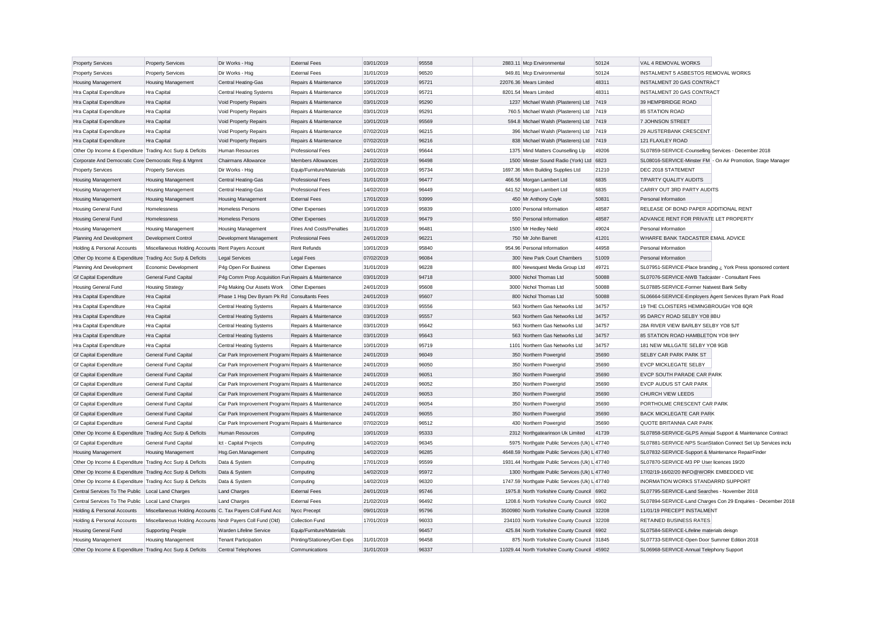| <b>Property Services</b>                                  | <b>Property Services</b>                                   | Dir Works - Hsg                                     | <b>External Fees</b>              | 03/01/2019               | 95558 | 2883.11 Mcp Environmental                                                       | 50124 | VAL 4 REMOVAL WORKS                                                                          |
|-----------------------------------------------------------|------------------------------------------------------------|-----------------------------------------------------|-----------------------------------|--------------------------|-------|---------------------------------------------------------------------------------|-------|----------------------------------------------------------------------------------------------|
| <b>Property Services</b>                                  | <b>Property Services</b>                                   | Dir Works - Hsg                                     | <b>External Fees</b>              | 31/01/2019               | 96520 | 949.81 Mcp Environmental                                                        | 50124 | INSTALMENT 5 ASBESTOS REMOVAL WORKS                                                          |
| Housing Management                                        | Housing Management                                         | Central Heating-Gas                                 | Repairs & Maintenance             | 10/01/2019               | 95721 | 22076.36 Mears Limited                                                          | 48311 | <b>INSTALMENT 20 GAS CONTRACT</b>                                                            |
| Hra Capital Expenditure                                   | Hra Capital                                                | <b>Central Heating Systems</b>                      | Repairs & Maintenance             | 10/01/2019               | 95721 | 8201.54 Mears Limited                                                           | 48311 | <b>INSTALMENT 20 GAS CONTRACT</b>                                                            |
| Hra Capital Expenditure                                   | Hra Capital                                                | Void Property Repairs                               | Repairs & Maintenance             | 03/01/2019               | 95290 | 1237 Michael Walsh (Plasterers) Ltd 7419                                        |       | 39 HEMPBRIDGE ROAD                                                                           |
| Hra Capital Expenditure                                   | Hra Capital                                                | Void Property Repairs                               | Repairs & Maintenance             | 03/01/2019               | 95291 | 760.5 Michael Walsh (Plasterers) Ltd 7419                                       |       | 85 STATION ROAD                                                                              |
| Hra Capital Expenditure                                   | Hra Capital                                                | Void Property Repairs                               | Repairs & Maintenance             | 10/01/2019               | 95569 | 594.8 Michael Walsh (Plasterers) Ltd 7419                                       |       | 7 JOHNSON STREET                                                                             |
| Hra Capital Expenditure                                   | Hra Capital                                                | Void Property Repairs                               | Repairs & Maintenance             | 07/02/2019               | 96215 | 396 Michael Walsh (Plasterers) Ltd 7419                                         |       | 29 AUSTERBANK CRESCENT                                                                       |
| Hra Capital Expenditure                                   | Hra Capital                                                | Void Property Repairs                               | Repairs & Maintenance             | 07/02/2019               | 96216 | 838 Michael Walsh (Plasterers) Ltd                                              | 7419  | 121 FLAXLEY ROAD                                                                             |
| Other Op Income & Expenditure Trading Acc Surp & Deficits |                                                            | Human Resources                                     | Professional Fees                 | 24/01/2019               | 95644 | 1375 Mind Matters Counselling Llp                                               | 49206 | SL07859-SERVICE-Counselling Services - December 2018                                         |
| Corporate And Democratic Core Democratic Rep & Mgmnt      |                                                            | Chairmans Allowance                                 | <b>Members Allowances</b>         | 21/02/2019               | 96498 | 1500 Minster Sound Radio (York) Ltd 6823                                        |       | SL08016-SERVICE-Minster FM - On Air Promotion, Stage Manager                                 |
| <b>Property Services</b>                                  | <b>Property Services</b>                                   | Dir Works - Hsg                                     | Equip/Furniture/Materials         | 10/01/2019               | 95734 | 1697.36 Mkm Building Supplies Ltd                                               | 21210 | DEC 2018 STATEMENT                                                                           |
| Housing Management                                        | <b>Housing Management</b>                                  | Central Heating-Gas                                 | Professional Fees                 | 31/01/2019               | 96477 | 466.56 Morgan Lambert Ltd                                                       | 6835  | T/PARTY QUALITY AUDITS                                                                       |
| <b>Housing Management</b>                                 | <b>Housing Management</b>                                  | Central Heating-Gas                                 | <b>Professional Fees</b>          | 14/02/2019               | 96449 | 641.52 Morgan Lambert Ltd                                                       | 6835  | CARRY OUT 3RD PARTY AUDITS                                                                   |
| <b>Housing Management</b>                                 | <b>Housing Management</b>                                  | <b>Housing Management</b>                           | <b>External Fees</b>              | 17/01/2019               | 93999 | 450 Mr Anthony Coyle                                                            | 50831 | Personal Information                                                                         |
| <b>Housing General Fund</b>                               | Homelessness                                               | Homeless Persons                                    | Other Expenses                    | 10/01/2019               | 95839 | 1000 Personal Information                                                       | 48587 | RELEASE OF BOND PAPER ADDITIONAL RENT                                                        |
| <b>Housing General Fund</b>                               | Homelessness                                               | <b>Homeless Persons</b>                             | Other Expenses                    | 31/01/2019               | 96479 | 550 Personal Information                                                        | 48587 | ADVANCE RENT FOR PRIVATE LET PROPERTY                                                        |
| Housing Management                                        | Housing Management                                         | Housing Management                                  | <b>Fines And Costs/Penalties</b>  | 31/01/2019               | 96481 | 1500 Mr Hedley Nield                                                            | 49024 | Personal Information                                                                         |
| Planning And Development                                  | Development Control                                        | Development Management                              | <b>Professional Fees</b>          | 24/01/2019               | 96221 | 750 Mr John Barrett                                                             | 41201 | WHARFE BANK TADCASTER EMAIL ADVICE                                                           |
| Holding & Personal Accounts                               | Miscellaneous Holding Accounts Rent Payers Account         |                                                     | <b>Rent Refunds</b>               | 10/01/2019               | 95840 | 954.96 Personal Information                                                     | 44958 | Personal Information                                                                         |
| Other Op Income & Expenditure Trading Acc Surp & Deficits |                                                            | <b>Legal Services</b>                               | <b>Legal Fees</b>                 | 07/02/2019               | 96084 | 300 New Park Court Chambers                                                     | 51009 | Personal Information                                                                         |
| Planning And Development                                  | Economic Development                                       | P4g Open For Business                               | Other Expenses                    | 31/01/2019               | 96228 | 800 Newsquest Media Group Ltd                                                   | 49721 | SL07951-SERVICE-Place branding ¿ York Press sponsored content                                |
| <b>Gf Capital Expenditure</b>                             | General Fund Capital                                       | P4g Comm Prop Acquisition Fun Repairs & Maintenance |                                   | 03/01/2019               | 94718 | 3000 Nichol Thomas Ltd                                                          | 50088 | SL07076-SERVICE-NWB Tadcaster - Consultant Fees                                              |
| Housing General Fund                                      | <b>Housing Strategy</b>                                    | P4g Making Our Assets Work                          | Other Expenses                    | 24/01/2019               | 95608 | 3000 Nichol Thomas Ltd                                                          | 50088 | SL07885-SERVICE-Former Natwest Bank Selby                                                    |
| Hra Capital Expenditure                                   | Hra Capital                                                | Phase 1 Hsg Dev Byram Pk Rd Consultants Fees        |                                   | 24/01/2019               | 95607 | 800 Nichol Thomas Ltd                                                           | 50088 | SL06664-SERVICE-Employers Agent Services Byram Park Road                                     |
| Hra Capital Expenditure                                   | Hra Capital                                                | <b>Central Heating Systems</b>                      | Repairs & Maintenance             | 03/01/2019               | 95556 | 563 Northern Gas Networks Ltd                                                   | 34757 | 19 THE CLOISTERS HEMINGBROUGH YO8 6QR                                                        |
| Hra Capital Expenditure                                   | Hra Capital                                                | <b>Central Heating Systems</b>                      | Repairs & Maintenance             | 03/01/2019               | 95557 | 563 Northern Gas Networks Ltd                                                   | 34757 | 95 DARCY ROAD SELBY YO8 8BU                                                                  |
| Hra Capital Expenditure                                   | Hra Capital                                                | <b>Central Heating Systems</b>                      | Repairs & Maintenance             | 03/01/2019               | 95642 | 563 Northern Gas Networks Ltd                                                   | 34757 | 28A RIVER VIEW BARLBY SELBY YO8 5JT                                                          |
| Hra Capital Expenditure                                   | Hra Capital                                                | <b>Central Heating Systems</b>                      | Repairs & Maintenance             | 03/01/2019               | 95643 | 563 Northern Gas Networks Ltd                                                   | 34757 | 85 STATION ROAD HAMBLETON YO8 9HY                                                            |
| Hra Capital Expenditure                                   | Hra Capital                                                | <b>Central Heating Systems</b>                      | Repairs & Maintenance             | 10/01/2019               | 95719 | 1101 Northern Gas Networks Ltd                                                  | 34757 | 181 NEW MILLGATE SELBY YO8 9GB                                                               |
| <b>Gf Capital Expenditure</b>                             | General Fund Capital                                       | Car Park Improvement Program: Repairs & Maintenance |                                   | 24/01/2019               | 96049 | 350 Northern Powergrid                                                          | 35690 | SELBY CAR PARK PARK ST                                                                       |
| <b>Gf Capital Expenditure</b>                             | General Fund Capital                                       | Car Park Improvement Program: Repairs & Maintenance |                                   | 24/01/2019               | 96050 | 350 Northern Powergrid                                                          | 35690 | EVCP MICKLEGATE SELBY                                                                        |
| <b>Gf Capital Expenditure</b>                             | General Fund Capital                                       | Car Park Improvement Program: Repairs & Maintenance |                                   | 24/01/2019               | 96051 | 350 Northern Powergrid                                                          | 35690 | EVCP SOUTH PARADE CAR PARK                                                                   |
| <b>Gf Capital Expenditure</b>                             | General Fund Capital                                       | Car Park Improvement Programı Repairs & Maintenance |                                   | 24/01/2019               | 96052 | 350 Northern Powergrid                                                          | 35690 | EVCP AUDUS ST CAR PARK                                                                       |
| <b>Gf Capital Expenditure</b>                             | General Fund Capital                                       | Car Park Improvement Program: Repairs & Maintenance |                                   | 24/01/2019               | 96053 | 350 Northern Powergrid                                                          | 35690 | <b>CHURCH VIEW LEEDS</b>                                                                     |
| <b>Gf Capital Expenditure</b>                             | General Fund Capital                                       | Car Park Improvement Program: Repairs & Maintenance |                                   | 24/01/2019               | 96054 | 350 Northern Powergrid                                                          | 35690 | PORTHOLME CRESCENT CAR PARK                                                                  |
| <b>Gf Capital Expenditure</b>                             | General Fund Capital                                       | Car Park Improvement Programı Repairs & Maintenance |                                   | 24/01/2019               | 96055 | 350 Northern Powergrid                                                          | 35690 | <b>BACK MICKLEGATE CAR PARK</b>                                                              |
| <b>Gf Capital Expenditure</b>                             | <b>General Fund Capital</b>                                | Car Park Improvement Program: Repairs & Maintenance |                                   | 07/02/2019               | 96512 | 430 Northern Powergrid                                                          | 35690 | QUOTE BRITANNIA CAR PARK                                                                     |
| Other Op Income & Expenditure Trading Acc Surp & Deficits |                                                            | <b>Human Resources</b>                              |                                   | 10/01/2019               | 95333 | 2312 Northgatearinson Uk Limited                                                | 41739 | SL07858-SERVICE-GLPS Annual Support & Maintenance Contract                                   |
| <b>Gf Capital Expenditure</b>                             | <b>General Fund Capital</b>                                | Ict - Capital Projects                              | Computing<br>Computing            | 14/02/2019               | 96345 | 5975 Northgate Public Services (Uk) L 47740                                     |       | SL07881-SERVICE-NPS ScanStation Connect Set Up Services inclu                                |
| <b>Housing Management</b>                                 | <b>Housing Management</b>                                  | Hsg.Gen.Management                                  | Computing                         | 14/02/2019               | 96285 | 4648.59 Northgate Public Services (Uk) L 47740                                  |       | SL07832-SERVICE-Support & Maintenance RepairFinder                                           |
| Other Op Income & Expenditure Trading Acc Surp & Deficits |                                                            | Data & System                                       | Computing                         | 17/01/2019               | 95599 | 1931.44 Northgate Public Services (Uk) L 47740                                  |       | SL07870-SERVICE-M3 PP User licences 19/20                                                    |
| Other Op Income & Expenditure Trading Acc Surp & Deficits |                                                            | Data & System                                       |                                   | 14/02/2019               | 95972 | 1300 Northgate Public Services (Uk) L 47740                                     |       | 17/02/19-16/02/20 INFO@WORK EMBEDDED VIE                                                     |
|                                                           |                                                            |                                                     | Computing                         | 14/02/2019               | 96320 | 1747.59 Northgate Public Services (Uk) L 47740                                  |       | <b>INORMATION WORKS STANDARRD SUPPORT</b>                                                    |
| Other Op Income & Expenditure Trading Acc Surp & Deficits |                                                            | Data & System                                       | Computing<br><b>External Fees</b> | 24/01/2019               | 95746 |                                                                                 |       |                                                                                              |
| Central Services To The Public Local Land Charges         |                                                            | <b>Land Charges</b>                                 |                                   |                          | 96492 | 1975.8 North Yorkshire County Council 6902                                      |       | SL07795-SERVICE-Land Searches - November 2018                                                |
| Central Services To The Public                            | Local Land Charges                                         | <b>Land Charges</b>                                 | <b>External Fees</b>              | 21/02/2019               | 95796 | 1208.6 North Yorkshire County Council 6902                                      | 32208 | SL07894-SERVICE-Land Charges Con 29 Enquiries - December 2018<br>11/01/19 PRECEPT INSTALMENT |
| Holding & Personal Accounts                               | Miscellaneous Holding Accounts C. Tax Payers Coll Fund Acc |                                                     | Nycc Precept                      | 09/01/2019<br>17/01/2019 | 96033 | 3500980 North Yorkshire County Council<br>234103 North Yorkshire County Council |       | RETAINED BUSINESS RATES                                                                      |
| Holding & Personal Accounts                               | Miscellaneous Holding Accounts Nndr Payers Coll Fund (Old) |                                                     | Collection Fund                   |                          |       |                                                                                 | 32208 |                                                                                              |
| <b>Housing General Fund</b>                               | <b>Supporting People</b>                                   | Warden Lifeline Service                             | Equip/Furniture/Materials         |                          | 96457 | 425.84 North Yorkshire County Council                                           | 6902  | SL07584-SERVICE-Lifeline materials deisgn                                                    |
| <b>Housing Management</b>                                 | <b>Housing Management</b>                                  | <b>Tenant Participation</b>                         | Printing/Stationery/Gen Exps      | 31/01/2019               | 96458 | 875 North Yorkshire County Council                                              | 31845 | SL07733-SERVICE-Open Door Summer Edition 2018                                                |
| Other Op Income & Expenditure Trading Acc Surp & Deficits |                                                            | <b>Central Telephones</b>                           | Communications                    | 31/01/2019               | 96337 | 11029.44 North Yorkshire County Council 45902                                   |       | SL06968-SERVICE-Annual Telephony Support                                                     |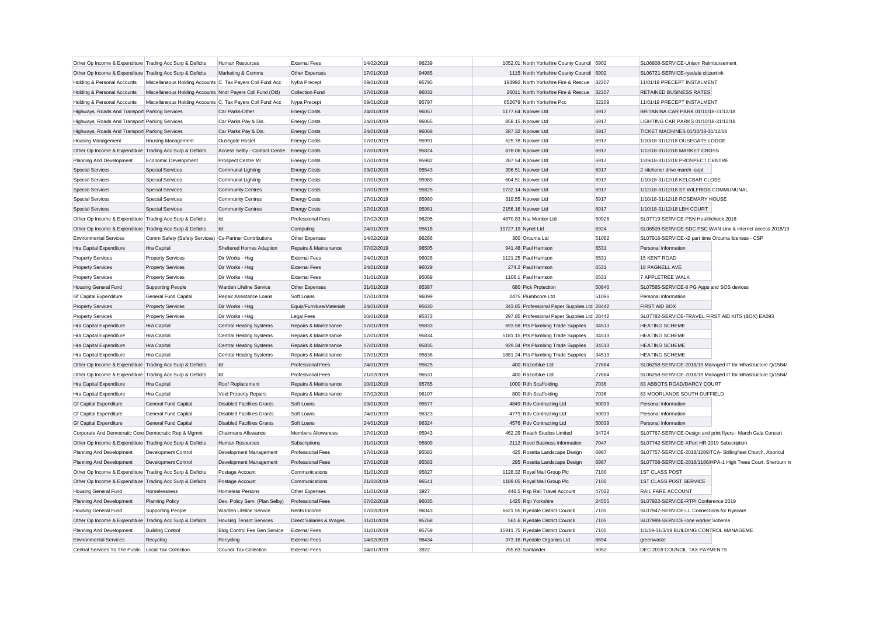| Other Op Income & Expenditure Trading Acc Surp & Deficits |                                                            | Human Resources                   | <b>External Fees</b>      | 14/02/2019 | 96239 | 1052.01 North Yorkshire County Council 6902  |       | SL06808-SERVICE-Unison Reimbursement                          |
|-----------------------------------------------------------|------------------------------------------------------------|-----------------------------------|---------------------------|------------|-------|----------------------------------------------|-------|---------------------------------------------------------------|
| Other Op Income & Expenditure Trading Acc Surp & Deficits |                                                            | Marketing & Comms                 | Other Expenses            | 17/01/2019 | 94985 | 1115 North Yorkshire County Council          | 6902  | SL06721-SERVICE-ryedale citizenlink                           |
| Holding & Personal Accounts                               | Miscellaneous Holding Accounts C. Tax Payers Coll Fund Acc |                                   | Nyfra Precept             | 09/01/2019 | 95795 | 193992 North Yorkshire Fire & Rescue         | 32207 | 11/01/19 PRECEPT INSTALMENT                                   |
| Holding & Personal Accounts                               | Miscellaneous Holding Accounts Nndr Payers Coll Fund (Old) |                                   | Collection Fund           | 17/01/2019 | 96032 | 26011 North Yorkshire Fire & Rescue          | 32207 | RETAINED BUSINESS RATES                                       |
| Holding & Personal Accounts                               | Miscellaneous Holding Accounts C. Tax Payers Coll Fund Acc |                                   | Nypa Precept              | 09/01/2019 | 95797 | 652679 North Yorkshire Pcc                   | 32209 | 11/01/19 PRECEPT INSTALMENT                                   |
| Highways, Roads And Transport Parking Services            |                                                            | Car Parks-Other                   | <b>Energy Costs</b>       | 24/01/2019 | 96057 | 1177.64 Npower Ltd                           | 6917  | BRITANINA CAR PARK 01/10/18-31/12/18                          |
| Highways, Roads And Transport Parking Services            |                                                            | Car Parks Pay & Dis.              | <b>Energy Costs</b>       | 24/01/2019 | 96065 | 858.15 Npower Ltd                            | 6917  | LIGHTING CAR PARKS 01/10/18-31/12/18                          |
| Highways, Roads And Transport Parking Services            |                                                            | Car Parks Pay & Dis               | <b>Energy Costs</b>       | 24/01/2019 | 96068 | 287.32 Npower Ltd                            | 6917  | TICKET MACHINES 01/10/18-31/12/18                             |
| <b>Housing Management</b>                                 | <b>Housing Management</b>                                  | <b>Ousegate Hostel</b>            | <b>Energy Costs</b>       | 17/01/2019 | 95991 | 525.78 Npower Ltd                            | 6917  | 1/10/18-31/12/18 OUSEGATE LODGE                               |
| Other Op Income & Expenditure Trading Acc Surp & Deficits |                                                            | Access Selby - Contact Centre     | <b>Energy Costs</b>       | 17/01/2019 | 95824 | 878.06 Npower Ltd                            | 6917  | 1/12/18-31/12/18 MARKET CROSS                                 |
| Planning And Development                                  | Economic Development                                       | Prospect Centre Mr                | <b>Energy Costs</b>       | 17/01/2019 | 95982 | 287.54 Npower Ltd                            | 6917  | 13/9/18-31/12/18 PROSPECT CENTRE                              |
| <b>Special Services</b>                                   | <b>Special Services</b>                                    | Communal Lighting                 | <b>Energy Costs</b>       | 03/01/2019 | 95543 | 396.51 Npower Ltd                            | 6917  | 2 kitchener drive march -sept                                 |
| <b>Special Services</b>                                   | <b>Special Services</b>                                    | Communal Lighting                 | <b>Energy Costs</b>       | 17/01/2019 | 95989 | 604.51 Npower Ltd                            | 6917  | 1/10/18-31/12/18 KELCBAR CLOSE                                |
| <b>Special Services</b>                                   | <b>Special Services</b>                                    | <b>Community Centres</b>          | <b>Energy Costs</b>       | 17/01/2019 | 95825 | 1732.14 Npower Ltd                           | 6917  | 1/12/18-31/12/18 ST WILFRIDS COMMUNUNAL                       |
| <b>Special Services</b>                                   | <b>Special Services</b>                                    | <b>Community Centres</b>          | <b>Energy Costs</b>       | 17/01/2019 | 95980 | 319.55 Npower Ltd                            | 6917  | 1/10/18-31/12/18 ROSEMARY HOUSE                               |
| <b>Special Services</b>                                   | <b>Special Services</b>                                    | <b>Community Centres</b>          | <b>Energy Costs</b>       | 17/01/2019 | 95981 | 2156.16 Npower Ltd                           | 6917  | 1/10/18-31/12/18 LBH COURT                                    |
| Other Op Income & Expenditure Trading Acc Surp & Deficits |                                                            | Ict                               | Professional Fees         | 07/02/2019 | 96205 | 4870.83 Nta Monitor Ltd                      | 50926 | SL07719-SERVICE-PSN Healthcheck 2018                          |
| Other Op Income & Expenditure Trading Acc Surp & Deficits |                                                            | Ict                               | Computing                 | 24/01/2019 | 95618 | 10727.19 Nynet Ltd                           | 6924  | SL06509-SERVICE-SDC PSC WAN Link & internet access 2018/19    |
| <b>Environmental Services</b>                             | Comm Safety (Safety Services) Cs-Partner Contributions     |                                   | Other Expenses            | 14/02/2019 | 96286 | 300 Orcuma Ltd                               | 51062 | SL07916-SERVICE-x2 part time Orcuma licenses - CSP            |
| Hra Capital Expenditure                                   | Hra Capital                                                | Sheltered Homes Adaption          | Repairs & Maintenance     | 07/02/2019 | 96505 | 941.48 Paul Harrison                         | 6531  | Personal Information                                          |
| <b>Property Services</b>                                  | <b>Property Services</b>                                   | Dir Works - Hsg                   | <b>External Fees</b>      | 24/01/2019 | 96028 | 1121.25 Paul Harrison                        | 6531  | 15 KENT ROAD                                                  |
| <b>Property Services</b>                                  | <b>Property Services</b>                                   | Dir Works - Hsg                   | <b>External Fees</b>      | 24/01/2019 | 96029 | 274.2 Paul Harrison                          | 6531  | 18 PAGNELL AVE                                                |
| <b>Property Services</b>                                  | <b>Property Services</b>                                   | Dir Works - Hsg                   | <b>External Fees</b>      | 31/01/2019 | 95089 | 1106.1 Paul Harrison                         | 6531  | 7 APPLETREE WALK                                              |
| Housing General Fund                                      | Supporting People                                          | Warden Lifeline Service           | Other Expenses            | 31/01/2019 | 95387 | 680 Pick Protection                          | 50840 | SL07585-SERVICE-8 PG Apps and SOS devices                     |
| <b>Gf Capital Expenditure</b>                             | General Fund Capital                                       | Repair Assistance Loans           | Soft Loans                | 17/01/2019 | 96099 | 2475 Plumbcore Ltd                           | 51096 | Personal Information                                          |
| <b>Property Services</b>                                  | <b>Property Services</b>                                   | Dir Works - Hsg                   | Equip/Furniture/Materials | 24/01/2019 | 95630 | 343.85 Professional Paper Supplies Ltd 28442 |       | <b>FIRST AID BOX</b>                                          |
| <b>Property Services</b>                                  | <b>Property Services</b>                                   | Dir Works - Hsg                   | <b>Legal Fees</b>         | 10/01/2019 | 95373 | 297.85 Professional Paper Supplies Ltd 28442 |       | SL07782-SERVICE-TRAVEL FIRST AID KITS (BOX) EA093             |
| Hra Capital Expenditure                                   | Hra Capital                                                | Central Heating Systems           | Repairs & Maintenance     | 17/01/2019 | 95833 | 693.58 Pts Plumbing Trade Supplies           | 34513 | <b>HEATING SCHEME</b>                                         |
| Hra Capital Expenditure                                   | Hra Capital                                                | <b>Central Heating Systems</b>    | Repairs & Maintenance     | 17/01/2019 | 95834 | 5181.15 Pts Plumbing Trade Supplies          | 34513 | <b>HEATING SCHEME</b>                                         |
| Hra Capital Expenditure                                   | Hra Capital                                                | <b>Central Heating Systems</b>    | Repairs & Maintenance     | 17/01/2019 | 95835 | 929.34 Pts Plumbing Trade Supplies           | 34513 | <b>HEATING SCHEME</b>                                         |
| <b>Hra Capital Expenditure</b>                            | <b>Hra Capital</b>                                         | Central Heating Systems           | Repairs & Maintenance     | 17/01/2019 | 95836 | 1881.24 Pts Plumbing Trade Supplies          | 34513 | <b>HEATING SCHEME</b>                                         |
| Other Op Income & Expenditure Trading Acc Surp & Deficits |                                                            | Ict                               | <b>Professional Fees</b>  | 24/01/2019 | 95625 | 400 Razorblue Ltd                            | 27684 | SL06258-SERVICE-2018/19 Managed IT for Infrastructure Q/1584/ |
| Other Op Income & Expenditure Trading Acc Surp & Deficits |                                                            | Ict                               | <b>Professional Fees</b>  | 21/02/2019 | 96531 | 400 Razorblue Ltd                            | 27684 | SL06258-SERVICE-2018/19 Managed IT for Infrastructure Q/1584/ |
| Hra Capital Expenditure                                   | Hra Capital                                                | Roof Replacement                  | Repairs & Maintenance     | 10/01/2019 | 95765 | 1000 Rdh Scaffolding                         | 7036  | 83 ABBOTS ROAD/DARCY COURT                                    |
| Hra Capital Expenditure                                   | Hra Capital                                                | Void Property Repairs             | Repairs & Maintenance     | 07/02/2019 | 96107 | 800 Rdh Scaffolding                          | 7036  | 83 MOORLANDS SOUTH DUFFIELD                                   |
|                                                           | General Fund Capital                                       | <b>Disabled Facilities Grants</b> |                           | 03/01/2019 | 95577 | 4849 Rdv Contracting Ltd                     | 50039 | Personal Information                                          |
| <b>Gf Capital Expenditure</b>                             |                                                            |                                   | Soft Loans                |            |       |                                              |       |                                                               |
| <b>Gf Capital Expenditure</b>                             | General Fund Capital                                       | <b>Disabled Facilities Grants</b> | Soft Loans                | 24/01/2019 | 96323 | 4779 Rdv Contracting Ltd                     | 50039 | Personal Information                                          |
| <b>Gf Capital Expenditure</b>                             | General Fund Capital                                       | <b>Disabled Facilities Grants</b> | Soft Loans                | 24/01/2019 | 96324 | 4576 Rdv Contracting Ltd                     | 50039 | Personal Information                                          |
|                                                           |                                                            |                                   |                           |            |       |                                              |       |                                                               |
|                                                           | Corporate And Democratic Core Democratic Rep & Mgmnt       | Chairmans Allowance               | Members Allowances        | 17/01/2019 | 95943 | 462.29 Reach Studios Limited                 | 34724 | SL07767-SERVICE-Design and print flyers - March Gala Concert  |
| Other Op Income & Expenditure Trading Acc Surp & Deficits |                                                            | Human Resources                   | Subscriptions             | 31/01/2019 | 95809 | 2112 Reed Business Information               | 7047  | SL07742-SERVICE-XPert HR 2019 Subscription                    |
| Planning And Development                                  | Development Control                                        | Development Management            | Professional Fees         | 17/01/2019 | 95582 | 425 Rosetta Landscape Design                 | 6987  | SL07757-SERVICE-2018/1289/TCA- Stillingfleet Church, Aboricul |
| Planning And Development                                  | Development Control                                        | Development Management            | <b>Professional Fees</b>  | 17/01/2019 | 95583 | 295 Rosetta Landscape Design                 | 6987  | SL07708-SERVICE-2018/1186/HPA-1 High Trees Court, Sherburn in |
| Other Op Income & Expenditure Trading Acc Surp & Deficits |                                                            | Postage Account                   | Communications            | 31/01/2019 | 95827 | 1128.32 Royal Mail Group Plc                 | 7100  | <b>1ST CLASS POST</b>                                         |
| Other Op Income & Expenditure Trading Acc Surp & Deficits |                                                            | Postage Account                   | Communications            | 21/02/2019 | 96541 | 1189.05 Royal Mail Group Plc                 | 7100  | 1ST CLASS POST SERVICE                                        |
| Housing General Fund                                      | Homelessness                                               | Homeless Persons                  | Other Expenses            | 11/01/2019 | 3927  | 446.5 Rsp Rail Travel Account                | 47022 | RAIL FARE ACCOUNT                                             |
| Planning And Development                                  | <b>Planning Policy</b>                                     | Dev. Policy Serv. (Plan Selby)    | <b>Professional Fees</b>  | 07/02/2019 | 96035 | 1425 Rtpi Yorkshire                          | 24555 | SL07922-SERVICE-RTPI Conference 2019                          |
| Housing General Fund                                      | Supporting People                                          | Warden Lifeline Service           | Rents Income              | 07/02/2019 | 96043 | 6621.55 Ryedale District Council             | 7105  | SL07947-SERVICE-LL Connections for Ryecare                    |
| Other Op Income & Expenditure Trading Acc Surp & Deficits |                                                            | <b>Housing Tenant Services</b>    | Direct Salaries & Wages   | 31/01/2019 | 95768 | 561.6 Ryedale District Council               | 7105  | SL07988-SERVICE-lone worker Scheme                            |
| Planning And Development                                  | <b>Building Control</b>                                    | Bldg Control Fee Gen Service      | <b>External Fees</b>      | 31/01/2019 | 95759 | 15911.75 Ryedale District Council            | 7105  | 1/1/19-31/3/19 BUILDING CONTROL MANAGEME                      |
| <b>Environmental Services</b>                             | Recycling                                                  | Recycling                         | <b>External Fees</b>      | 14/02/2019 | 96434 | 373.16 Ryedale Organics Ltd                  | 6694  | greenwaste                                                    |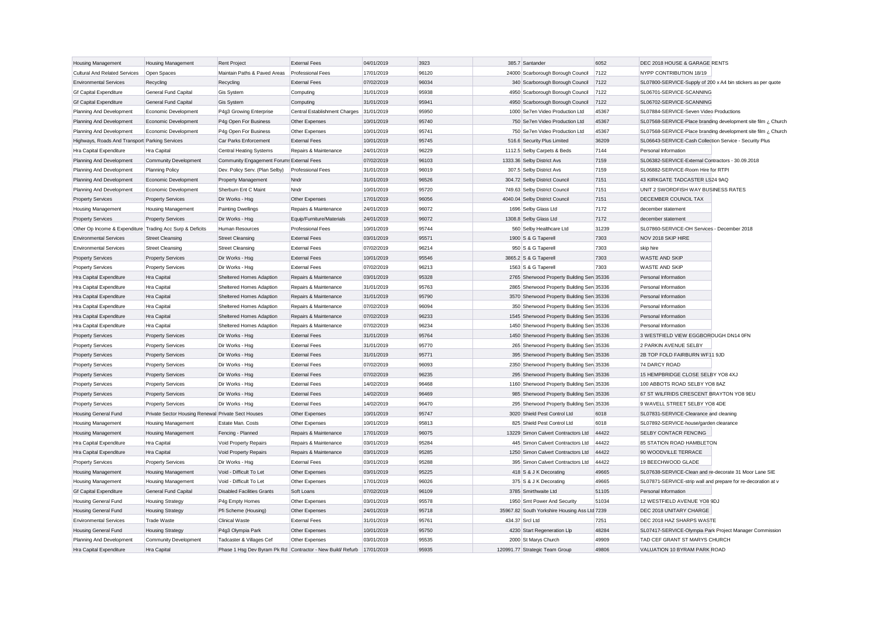| <b>Housing Management</b>                                 | <b>Housing Management</b>                          | <b>Rent Project</b>                                        | <b>External Fees</b>          | 04/01/2019 | 3923  | 385.7 Santander                               | 6052  | DEC 2018 HOUSE & GARAGE RENTS                                 |
|-----------------------------------------------------------|----------------------------------------------------|------------------------------------------------------------|-------------------------------|------------|-------|-----------------------------------------------|-------|---------------------------------------------------------------|
| Cultural And Related Services                             | Open Spaces                                        | Maintain Paths & Paved Areas                               | <b>Professional Fees</b>      | 17/01/2019 | 96120 | 24000 Scarborough Borough Council             | 7122  | NYPP CONTRIBUTION 18/19                                       |
| <b>Environmental Services</b>                             | Recycling                                          | Recycling                                                  | <b>External Fees</b>          | 07/02/2019 | 96034 | 340 Scarborough Borough Council               | 7122  | SL07800-SERVICE-Supply of 200 x A4 bin stickers as per quote  |
| <b>Gf Capital Expenditure</b>                             | General Fund Capital                               | <b>Gis System</b>                                          | Computing                     | 31/01/2019 | 95938 | 4950 Scarborough Borough Council              | 7122  | SL06701-SERVICE-SCANNING                                      |
| <b>Gf Capital Expenditure</b>                             | General Fund Capital                               | Gis System                                                 | Computing                     | 31/01/2019 | 95941 | 4950 Scarborough Borough Council              | 7122  | SL06702-SERVICE-SCANNING                                      |
| Planning And Development                                  | Economic Development                               | P4g3 Growing Enterprise                                    | Central Establishment Charges | 31/01/2019 | 95950 | 1000 Se7en Video Production Ltd               | 45367 | SL07884-SERVICE-Seven Video Productions                       |
| Planning And Development                                  | Economic Development                               | P4g Open For Business                                      | Other Expenses                | 10/01/2019 | 95740 | 750 Se7en Video Production Ltd                | 45367 | SL07568-SERVICE-Place branding development site film ¿ Church |
| Planning And Development                                  | Economic Development                               | P4g Open For Business                                      | Other Expenses                | 10/01/2019 | 95741 | 750 Se7en Video Production Ltd                | 45367 | SL07568-SERVICE-Place branding development site film ¿ Church |
| Highways, Roads And Transport Parking Services            |                                                    | Car Parks Enforcement                                      | <b>External Fees</b>          | 10/01/2019 | 95745 | 516.6 Security Plus Limited                   | 36209 | SL06643-SERVICE-Cash Collection Service - Security Plus       |
| Hra Capital Expenditure                                   | <b>Hra Capital</b>                                 | <b>Central Heating Systems</b>                             | Repairs & Maintenance         | 24/01/2019 | 96229 | 1112.5 Selby Carpets & Beds                   | 7144  | Personal Information                                          |
| Planning And Development                                  | <b>Community Development</b>                       | Community Engagement Forums External Fees                  |                               | 07/02/2019 | 96103 | 1333.36 Selby District Avs                    | 7159  | SL06382-SERVICE-External Contractors - 30.09.2018             |
| Planning And Development                                  | <b>Planning Policy</b>                             | Dev. Policy Serv. (Plan Selby)                             | <b>Professional Fees</b>      | 31/01/2019 | 96019 | 307.5 Selby District Avs                      | 7159  | SL06882-SERVICE-Room Hire for RTPI                            |
| Planning And Development                                  | Economic Development                               | <b>Property Management</b>                                 | Nndr                          | 31/01/2019 | 96526 | 304.72 Selby District Council                 | 7151  | 43 KIRKGATE TADCASTER LS24 9AQ                                |
| Planning And Development                                  | Economic Development                               | Sherburn Ent C Maint                                       | Nndr                          | 10/01/2019 | 95720 | 749.63 Selby District Council                 | 7151  | UNIT 2 SWORDFISH WAY BUSINESS RATES                           |
| <b>Property Services</b>                                  | <b>Property Services</b>                           | Dir Works - Hsg                                            | Other Expenses                | 17/01/2019 | 96056 | 4040.04 Selby District Council                | 7151  | <b>DECEMBER COUNCIL TAX</b>                                   |
| Housing Management                                        | <b>Housing Management</b>                          | <b>Painting Dwellings</b>                                  | Repairs & Maintenance         | 24/01/2019 | 96072 | 1696 Selby Glass Ltd                          | 7172  | december statement                                            |
| <b>Property Services</b>                                  | <b>Property Services</b>                           | Dir Works - Hsg                                            | Equip/Furniture/Materials     | 24/01/2019 | 96072 | 1308.8 Selby Glass Ltd                        | 7172  | december statement                                            |
| Other Op Income & Expenditure Trading Acc Surp & Deficits |                                                    | Human Resources                                            | <b>Professional Fees</b>      | 10/01/2019 | 95744 | 560 Selby Healthcare Ltd                      | 31239 | SL07860-SERVICE-OH Services - December 2018                   |
| <b>Environmental Services</b>                             | <b>Street Cleansing</b>                            | <b>Street Cleansing</b>                                    | <b>External Fees</b>          | 03/01/2019 | 95571 | 1900 S & G Taperell                           | 7303  | NOV 2018 SKIP HIRE                                            |
| <b>Environmental Services</b>                             | <b>Street Cleansing</b>                            | <b>Street Cleansing</b>                                    | <b>External Fees</b>          | 07/02/2019 | 96214 | 950 S & G Taperell                            | 7303  | skip hire                                                     |
| <b>Property Services</b>                                  | <b>Property Services</b>                           | Dir Works - Hsg                                            | <b>External Fees</b>          | 10/01/2019 | 95546 | 3865.2 S & G Taperell                         | 7303  | <b>WASTE AND SKIP</b>                                         |
| Property Services                                         | <b>Property Services</b>                           | Dir Works - Hsg                                            | <b>External Fees</b>          | 07/02/2019 | 96213 | 1563 S & G Taperell                           | 7303  | <b>WASTE AND SKIP</b>                                         |
| Hra Capital Expenditure                                   | <b>Hra Capital</b>                                 | Sheltered Homes Adaption                                   | Repairs & Maintenance         | 03/01/2019 | 95328 | 2765 Sherwood Property Building Sen 35336     |       | Personal Information                                          |
| Hra Capital Expenditure                                   | Hra Capital                                        | Sheltered Homes Adaption                                   | Repairs & Maintenance         | 31/01/2019 | 95763 | 2865 Sherwood Property Building Sen 35336     |       | Personal Information                                          |
| Hra Capital Expenditure                                   | Hra Capital                                        | Sheltered Homes Adaption                                   | Repairs & Maintenance         | 31/01/2019 | 95790 | 3570 Sherwood Property Building Sen 35336     |       | Personal Information                                          |
| Hra Capital Expenditure                                   | Hra Capital                                        | Sheltered Homes Adaption                                   | Repairs & Maintenance         | 07/02/2019 | 96094 | 350 Sherwood Property Building Sen 35336      |       | Personal Information                                          |
| Hra Capital Expenditure                                   | Hra Capital                                        | Sheltered Homes Adaption                                   | Repairs & Maintenance         | 07/02/2019 | 96233 | 1545 Sherwood Property Building Sen 35336     |       | Personal Information                                          |
| Hra Capital Expenditure                                   | Hra Capital                                        | Sheltered Homes Adaption                                   | Repairs & Maintenance         | 07/02/2019 | 96234 | 1450 Sherwood Property Building Sen 35336     |       | Personal Information                                          |
| <b>Property Services</b>                                  | <b>Property Services</b>                           | Dir Works - Hsg                                            | <b>External Fees</b>          | 31/01/2019 | 95764 | 1450 Sherwood Property Building Sen 35336     |       | 3 WESTFIELD VIEW EGGBOROUGH DN14 0FN                          |
| <b>Property Services</b>                                  | <b>Property Services</b>                           | Dir Works - Hsg                                            | <b>External Fees</b>          | 31/01/2019 | 95770 | 265 Sherwood Property Building Sen 35336      |       | 2 PARKIN AVENUE SELBY                                         |
| <b>Property Services</b>                                  | <b>Property Services</b>                           | Dir Works - Hsg                                            | <b>External Fees</b>          | 31/01/2019 | 95771 | 395 Sherwood Property Building Sen 35336      |       | 2B TOP FOLD FAIRBURN WF11 9JD                                 |
| <b>Property Services</b>                                  | <b>Property Services</b>                           | Dir Works - Hsg                                            | <b>External Fees</b>          | 07/02/2019 | 96093 | 2350 Sherwood Property Building Serv 35336    |       | 74 DARCY ROAD                                                 |
| <b>Property Services</b>                                  | <b>Property Services</b>                           | Dir Works - Hsg                                            | <b>External Fees</b>          | 07/02/2019 | 96235 | 295 Sherwood Property Building Sen 35336      |       | 15 HEMPBRIDGE CLOSE SELBY YO8 4XJ                             |
| <b>Property Services</b>                                  | <b>Property Services</b>                           | Dir Works - Hsg                                            | <b>External Fees</b>          | 14/02/2019 | 96468 | 1160 Sherwood Property Building Sen 35336     |       | 100 ABBOTS ROAD SELBY YO8 8AZ                                 |
| <b>Property Services</b>                                  | <b>Property Services</b>                           | Dir Works - Hsg                                            | <b>External Fees</b>          | 14/02/2019 | 96469 | 985 Sherwood Property Building Sen 35336      |       | 67 ST WILFRIDS CRESCENT BRAYTON YO8 9EU                       |
| <b>Property Services</b>                                  | <b>Property Services</b>                           | Dir Works - Hsg                                            | <b>External Fees</b>          | 14/02/2019 | 96470 | 295 Sherwood Property Building Sen 35336      |       | 9 WAVELL STREET SELBY YO8 4DE                                 |
| Housing General Fund                                      | Private Sector Housing Renewal Private Sect Houses |                                                            | Other Expenses                | 10/01/2019 | 95747 | 3020 Shield Pest Control Ltd                  | 6018  | SL07831-SERVICE-Clearance and cleaning                        |
| <b>Housing Management</b>                                 | <b>Housing Management</b>                          | Estate Man. Costs                                          | Other Expenses                | 10/01/2019 | 95813 | 825 Shield Pest Control Ltd                   | 6018  | SL07892-SERVICE-house/garden clearance                        |
| Housing Management                                        | <b>Housing Management</b>                          | Fencing - Planned                                          | Repairs & Maintenance         | 17/01/2019 | 96075 | 13229 Simon Calvert Contractors Ltd           | 44422 | <b>SELBY CONTACR FENCING</b>                                  |
| Hra Capital Expenditure                                   | <b>Hra Capital</b>                                 | Void Property Repairs                                      | Repairs & Maintenance         | 03/01/2019 | 95284 | 445 Simon Calvert Contractors Ltd             | 44422 | 85 STATION ROAD HAMBLETON                                     |
| Hra Capital Expenditure                                   | Hra Capital                                        | Void Property Repairs                                      | Repairs & Maintenance         | 03/01/2019 | 95285 | 1250 Simon Calvert Contractors Ltd            | 44422 | 90 WOODVILLE TERRACE                                          |
| <b>Property Services</b>                                  | <b>Property Services</b>                           | Dir Works - Hsg                                            | <b>External Fees</b>          | 03/01/2019 | 95288 | 395 Simon Calvert Contractors Ltd             | 44422 | 19 BEECHWOOD GLADE                                            |
| <b>Housing Management</b>                                 | <b>Housing Management</b>                          | Void - Difficult To Let                                    | Other Expenses                | 03/01/2019 | 95225 | 418 S & J K Decorating                        | 49665 | SL07638-SERVICE-Clean and re-decorate 31 Moor Lane SIE        |
| Housing Management                                        | <b>Housing Management</b>                          | Void - Difficult To Let                                    | Other Expenses                | 17/01/2019 | 96026 | 375 S & J K Decorating                        | 49665 | SL07871-SERVICE-strip wall and prepare for re-decoration at v |
| <b>Gf Capital Expenditure</b>                             | <b>General Fund Capital</b>                        | <b>Disabled Facilities Grants</b>                          | Soft Loans                    | 07/02/2019 | 96109 | 3785 Smirthwaite Ltd                          | 51105 | Personal Information                                          |
| <b>Housing General Fund</b>                               | <b>Housing Strategy</b>                            | P4g Empty Homes                                            | Other Expenses                | 03/01/2019 | 95578 | 1950 Smt Power And Security                   | 51034 | 12 WESTFIELD AVENUE YO8 9DJ                                   |
| <b>Housing General Fund</b>                               | <b>Housing Strategy</b>                            | Pfi Scheme (Housing)                                       | Other Expenses                | 24/01/2019 | 95718 | 35967.82 South Yorkshire Housing Ass Ltd 7239 |       | DEC 2018 UNITARY CHARGE                                       |
| <b>Environmental Services</b>                             | <b>Trade Waste</b>                                 | <b>Clinical Waste</b>                                      | <b>External Fees</b>          | 31/01/2019 | 95761 | 434.37 Srcl Ltd                               | 7251  | DEC 2018 HAZ SHARPS WASTE                                     |
| <b>Housing General Fund</b>                               | <b>Housing Strategy</b>                            | P4q3 Olympia Park                                          | Other Expenses                | 10/01/2019 | 95750 | 4230 Start Regeneration Llp                   | 48284 | SL07417-SERVICE-Olympia Park Project Manager Commission       |
| Planning And Development                                  | <b>Community Development</b>                       | Tadcaster & Villages Cef                                   | Other Expenses                | 03/01/2019 | 95535 | 2000 St Marys Church                          | 49909 | TAD CEF GRANT ST MARYS CHURCH                                 |
| Hra Capital Expenditure                                   | <b>Hra Capital</b>                                 | Phase 1 Hsg Dev Byram Pk Rd Contractor - New Build/ Refurb |                               | 17/01/2019 | 95935 | 120991.77 Strategic Team Group                | 49806 | VALUATION 10 BYRAM PARK ROAD                                  |
|                                                           |                                                    |                                                            |                               |            |       |                                               |       |                                                               |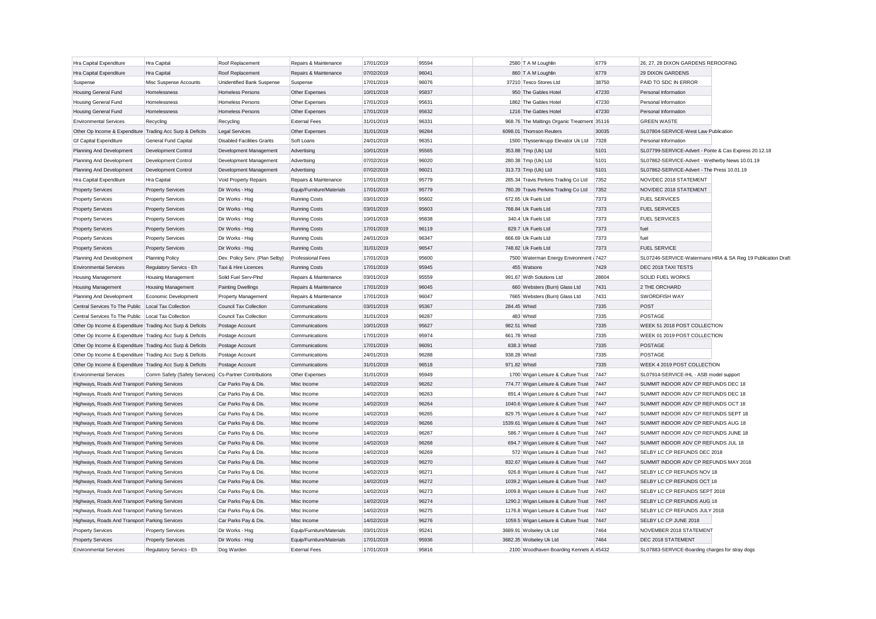| Hra Capital Expenditure                                   | Hra Capital                                            | Roof Replacement                  | Repairs & Maintenance     | 17/01/2019 | 95594 |               | 2580 T A M Loughlin                         | 6779  | 26, 27, 28 DIXON GARDENS REROOFING                    |                                                             |
|-----------------------------------------------------------|--------------------------------------------------------|-----------------------------------|---------------------------|------------|-------|---------------|---------------------------------------------|-------|-------------------------------------------------------|-------------------------------------------------------------|
| Hra Capital Expenditure                                   | Hra Capital                                            | Roof Replacement                  | Repairs & Maintenance     | 07/02/2019 | 96041 |               | 860 T A M Loughlin                          | 6779  | <b>29 DIXON GARDENS</b>                               |                                                             |
| Suspense                                                  | Misc Suspense Accounts                                 | Unidentified Bank Suspense        | Suspense                  | 17/01/2019 | 96076 |               | 37210 Tesco Stores Ltd                      | 38750 | PAID TO SDC IN ERROR                                  |                                                             |
| <b>Housing General Fund</b>                               | Homelessness                                           | <b>Homeless Persons</b>           | Other Expenses            | 10/01/2019 | 95837 |               | 950 The Gables Hotel                        | 47230 | Personal Information                                  |                                                             |
| <b>Housing General Fund</b>                               | Homelessness                                           | Homeless Persons                  | Other Expenses            | 17/01/2019 | 95631 |               | 1862 The Gables Hotel                       | 47230 | Personal Information                                  |                                                             |
| Housing General Fund                                      | Homelessness                                           | <b>Homeless Persons</b>           | Other Expenses            | 17/01/2019 | 95632 |               | 1216 The Gables Hotel                       | 47230 | Personal Information                                  |                                                             |
| <b>Environmental Services</b>                             | Recycling                                              | Recycling                         | <b>External Fees</b>      | 31/01/2019 | 96331 |               | 968.76 The Maltings Organic Treatment 35116 |       | <b>GREEN WASTE</b>                                    |                                                             |
| Other Op Income & Expenditure Trading Acc Surp & Deficits |                                                        | <b>Legal Services</b>             | Other Expenses            | 31/01/2019 | 96284 |               | 6098.01 Thomson Reuters                     | 30035 | SL07804-SERVICE-West Law Publication                  |                                                             |
| <b>Gf Capital Expenditure</b>                             | General Fund Capital                                   | <b>Disabled Facilities Grants</b> | Soft Loans                | 24/01/2019 | 96351 |               | 1500 Thyssenkrupp Elevator Uk Ltd           | 7328  | Personal Information                                  |                                                             |
| Planning And Development                                  | Development Control                                    | Development Management            | Advertising               | 10/01/2019 | 95565 |               | 353.88 Tmp (Uk) Ltd                         | 5101  | SL07799-SERVICE-Advert - Ponte & Cas Express 20.12.18 |                                                             |
| Planning And Development                                  | Development Control                                    | Development Management            | Advertising               | 07/02/2019 | 96020 |               | 280.38 Tmp (Uk) Ltd                         | 5101  | SL07862-SERVICE-Advert - Wetherby News 10.01.19       |                                                             |
| Planning And Development                                  | Development Control                                    | Development Management            | Advertising               | 07/02/2019 | 96021 |               | 313.73 Tmp (Uk) Ltd                         | 5101  | SL07862-SERVICE-Advert - The Press 10.01.19           |                                                             |
| Hra Capital Expenditure                                   | Hra Capital                                            | Void Property Repairs             | Repairs & Maintenance     | 17/01/2019 | 95779 |               | 285.34 Travis Perkins Trading Co Ltd        | 7352  | NOV/DEC 2018 STATEMENT                                |                                                             |
| <b>Property Services</b>                                  | <b>Property Services</b>                               | Dir Works - Hsg                   | Equip/Furniture/Materials | 17/01/2019 | 95779 |               | 780.39 Travis Perkins Trading Co Ltd        | 7352  | NOV/DEC 2018 STATEMENT                                |                                                             |
| <b>Property Services</b>                                  | <b>Property Services</b>                               | Dir Works - Hsg                   | Running Costs             | 03/01/2019 | 95602 |               | 672.65 Uk Fuels Ltd                         | 7373  | <b>FUEL SERVICES</b>                                  |                                                             |
| <b>Property Services</b>                                  | <b>Property Services</b>                               | Dir Works - Hsa                   | <b>Running Costs</b>      | 03/01/2019 | 95603 |               | 768.84 Uk Fuels Ltd                         | 7373  | <b>FUEL SERVICES</b>                                  |                                                             |
| <b>Property Services</b>                                  | <b>Property Services</b>                               | Dir Works - Hsg                   | <b>Running Costs</b>      | 10/01/2019 | 95838 |               | 340.4 Uk Fuels Ltd                          | 7373  | <b>FUEL SERVICES</b>                                  |                                                             |
| <b>Property Services</b>                                  | <b>Property Services</b>                               | Dir Works - Hsg                   | <b>Running Costs</b>      | 17/01/2019 | 96119 |               | 829.7 Uk Fuels Ltd                          | 7373  | fuel                                                  |                                                             |
| <b>Property Services</b>                                  | <b>Property Services</b>                               | Dir Works - Hsg                   | <b>Running Costs</b>      | 24/01/2019 | 96347 |               | 666.69 Uk Fuels Ltd                         | 7373  | fuel                                                  |                                                             |
| <b>Property Services</b>                                  | <b>Property Services</b>                               | Dir Works - Hsg                   | <b>Running Costs</b>      | 31/01/2019 | 96547 |               | 748.82 Uk Fuels Ltd                         | 7373  | <b>FUEL SERVICE</b>                                   |                                                             |
| Planning And Development                                  | <b>Planning Policy</b>                                 | Dev. Policy Serv. (Plan Selby)    | <b>Professional Fees</b>  | 17/01/2019 | 95600 |               | 7500 Waterman Energy Environment (7427      |       |                                                       | SL07246-SERVICE-Watermans HRA & SA Reg 19 Publication Draft |
| <b>Environmental Services</b>                             | Regulatory Servics - Eh                                | Taxi & Hire Licences              | <b>Running Costs</b>      | 17/01/2019 | 95945 |               | 455 Watsons                                 | 7429  | DEC 2018 TAXI TESTS                                   |                                                             |
| <b>Housing Management</b>                                 | <b>Housing Management</b>                              | Solid Fuel Serv-PInd              | Repairs & Maintenance     | 03/01/2019 | 95559 |               | 991.67 Wdh Solutions Ltd                    | 28604 | SOLID FUEL WORKS                                      |                                                             |
| Housing Management                                        | <b>Housing Management</b>                              | <b>Painting Dwellings</b>         | Repairs & Maintenance     | 17/01/2019 | 96045 |               | 660 Websters (Burn) Glass Ltd               | 7431  | 2 THE ORCHARD                                         |                                                             |
| Planning And Development                                  | Economic Development                                   | <b>Property Management</b>        | Repairs & Maintenance     | 17/01/2019 | 96047 |               | 7665 Websters (Burn) Glass Ltd              | 7431  | SWORDFISH WAY                                         |                                                             |
| Central Services To The Public Local Tax Collection       |                                                        | <b>Council Tax Collection</b>     | Communications            | 03/01/2019 | 95367 | 284.45 Whistl |                                             | 7335  | <b>POST</b>                                           |                                                             |
| Central Services To The Public   Local Tax Collection     |                                                        | Council Tax Collection            | Communications            | 31/01/2019 | 96287 |               | 483 Whistl                                  | 7335  | <b>POSTAGE</b>                                        |                                                             |
| Other Op Income & Expenditure Trading Acc Surp & Deficits |                                                        | Postage Account                   | Communications            | 10/01/2019 | 95627 | 982.51 Whistl |                                             | 7335  | WEEK 51 2018 POST COLLECTION                          |                                                             |
| Other Op Income & Expenditure Trading Acc Surp & Deficits |                                                        | Postage Account                   | Communications            | 17/01/2019 | 95974 | 661.78 Whist  |                                             | 7335  | WEEK 01 2019 POST COLLECTION                          |                                                             |
| Other Op Income & Expenditure Trading Acc Surp & Deficits |                                                        | Postage Account                   | Communications            | 17/01/2019 | 96091 |               | 838.3 Whistl                                | 7335  | <b>POSTAGE</b>                                        |                                                             |
| Other Op Income & Expenditure Trading Acc Surp & Deficits |                                                        | Postage Account                   | Communications            | 24/01/2019 | 96288 | 938.28 Whist  |                                             | 7335  | POSTAGE                                               |                                                             |
| Other Op Income & Expenditure Trading Acc Surp & Deficits |                                                        | Postage Account                   | Communications            | 31/01/2019 | 96518 | 971.82 Whistl |                                             | 7335  | WEEK 4 2019 POST COLLECTION                           |                                                             |
| <b>Environmental Services</b>                             | Comm Safety (Safety Services) Cs-Partner Contributions |                                   | Other Expenses            | 31/01/2019 | 95949 |               | 1700 Wigan Leisure & Culture Trust          | 7447  | SL07914-SERVICE-IHL - ASB model support               |                                                             |
| Highways, Roads And Transport Parking Services            |                                                        | Car Parks Pay & Dis               | Misc Income               | 14/02/2019 | 96262 |               | 774.77 Wigan Leisure & Culture Trust        | 7447  | SUMMIT INDOOR ADV CP REFUNDS DEC 18                   |                                                             |
| Highways, Roads And Transport Parking Services            |                                                        | Car Parks Pay & Dis               | Misc Income               | 14/02/2019 | 96263 |               | 891.4 Wigan Leisure & Culture Trust         | 7447  | SUMMIT INDOOR ADV CP REFUNDS DEC 18                   |                                                             |
| Highways, Roads And Transport Parking Services            |                                                        | Car Parks Pay & Dis               | Misc Income               | 14/02/2019 | 96264 |               | 1040.6 Wigan Leisure & Culture Trust        | 7447  | SUMMIT INDOOR ADV CP REFUNDS OCT 18                   |                                                             |
| Highways, Roads And Transport Parking Services            |                                                        | Car Parks Pay & Dis               | Misc Income               | 14/02/2019 | 96265 |               | 829.75 Wigan Leisure & Culture Trust        | 7447  | SUMMIT INDOOR ADV CP REFUNDS SEPT 18                  |                                                             |
| Highways, Roads And Transport Parking Services            |                                                        | Car Parks Pay & Dis               | Misc Income               | 14/02/2019 | 96266 |               | 1539.61 Wigan Leisure & Culture Trust       | 7447  | SUMMIT INDOOR ADV CP REFUNDS AUG 18                   |                                                             |
| Highways, Roads And Transport Parking Services            |                                                        | Car Parks Pay & Dis               | Misc Income               | 14/02/2019 | 96267 |               | 586.7 Wigan Leisure & Culture Trust         | 7447  | SUMMIT INDOOR ADV CP REFUNDS JUNE 18                  |                                                             |
| Highways, Roads And Transport Parking Services            |                                                        | Car Parks Pay & Dis               | Misc Income               | 14/02/2019 | 96268 |               | 694.7 Wigan Leisure & Culture Trust         | 7447  | SUMMIT INDOOR ADV CP REFUNDS JUL 18                   |                                                             |
| Highways, Roads And Transport Parking Services            |                                                        | Car Parks Pay & Dis               | Misc Income               | 14/02/2019 | 96269 |               | 572 Wigan Leisure & Culture Trust           | 7447  | SELBY LC CP REFUNDS DEC 2018                          |                                                             |
| Highways, Roads And Transport Parking Services            |                                                        | Car Parks Pay & Dis               | Misc Income               | 14/02/2019 | 96270 |               | 832.67 Wigan Leisure & Culture Trust        | 7447  | SUMMIT INDOOR ADV CP REFUNDS MAY 2018                 |                                                             |
| Highways, Roads And Transport Parking Services            |                                                        | Car Parks Pay & Dis               | Misc Income               | 14/02/2019 | 96271 |               | 926.8 Wigan Leisure & Culture Trust         | 7447  | SELBY LC CP REFUNDS NOV 18                            |                                                             |
| Highways, Roads And Transport Parking Services            |                                                        | Car Parks Pay & Dis               | Misc Income               | 14/02/2019 | 96272 |               | 1039.2 Wigan Leisure & Culture Trust        | 7447  | SELBY LC CP REFUNDS OCT 18                            |                                                             |
| Highways, Roads And Transport Parking Services            |                                                        | Car Parks Pay & Dis               | Misc Income               | 14/02/2019 | 96273 |               | 1009.8 Wigan Leisure & Culture Trust        | 7447  | SELBY LC CP REFUNDS SEPT 2018                         |                                                             |
| Highways, Roads And Transport Parking Services            |                                                        | Car Parks Pay & Dis               | Misc Income               | 14/02/2019 | 96274 |               | 1290.2 Wigan Leisure & Culture Trust        | 7447  | SELBY LC CP REFUNDS AUG 18                            |                                                             |
| Highways, Roads And Transport Parking Services            |                                                        | Car Parks Pay & Dis               | Misc Income               | 14/02/2019 | 96275 |               | 1176.8 Wigan Leisure & Culture Trust        | 7447  | SELBY LC CP REFUNDS JULY 2018                         |                                                             |
| Highways, Roads And Transport Parking Services            |                                                        | Car Parks Pay & Dis               | Misc Income               | 14/02/2019 | 96276 |               | 1059.5 Wigan Leisure & Culture Trust        | 7447  | SELBY LC CP JUNE 2018                                 |                                                             |
| <b>Property Services</b>                                  | <b>Property Services</b>                               | Dir Works - Hsg                   | Equip/Furniture/Materials | 03/01/2019 | 95241 |               | 3689.91 Wolseley Uk Ltd                     | 7464  | NOVEMBER 2018 STATEMENT                               |                                                             |
| <b>Property Services</b>                                  | <b>Property Services</b>                               | Dir Works - Hsg                   | Equip/Furniture/Materials | 17/01/2019 | 95936 |               | 3682.35 Wolseley Uk Ltd                     | 7464  | DEC 2018 STATEMENT                                    |                                                             |
| <b>Environmental Services</b>                             | Regulatory Servics - Eh                                | Dog Warden                        | <b>External Fees</b>      | 17/01/2019 | 95816 |               | 2100 Woodhaven Boarding Kennels A 45432     |       | SL07883-SERVICE-Boarding charges for stray dogs       |                                                             |
|                                                           |                                                        |                                   |                           |            |       |               |                                             |       |                                                       |                                                             |